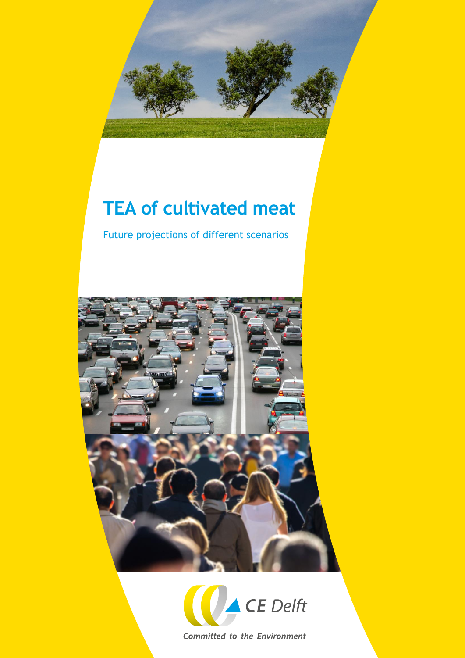

## **TEA of cultivated meat**

Future projections of different scenarios





**Committed to the Environment**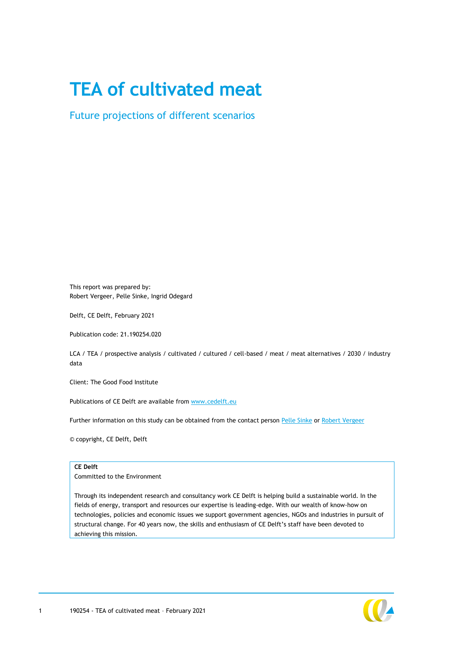## **TEA of cultivated meat**

Future projections of different scenarios

This report was prepared by: Robert Vergeer, Pelle Sinke, Ingrid Odegard

Delft, CE Delft, February 2021

Publication code: 21.190254.020

LCA / TEA / prospective analysis / cultivated / cultured / cell-based / meat / meat alternatives / 2030 / industry data

Client: The Good Food Institute

Publications of CE Delft are available from [www.cedelft.eu](http://www.cedelft.eu/)

Further information on this study can be obtained from the contact person [Pelle Sinke](mailto:sinke@ce.nl) or [Robert Vergeer](mailto:vergeer@ce.nl)

© copyright, CE Delft, Delft

#### **CE Delft**

Committed to the Environment

Through its independent research and consultancy work CE Delft is helping build a sustainable world. In the fields of energy, transport and resources our expertise is leading-edge. With our wealth of know-how on technologies, policies and economic issues we support government agencies, NGOs and industries in pursuit of structural change. For 40 years now, the skills and enthusiasm of CE Delft's staff have been devoted to achieving this mission.

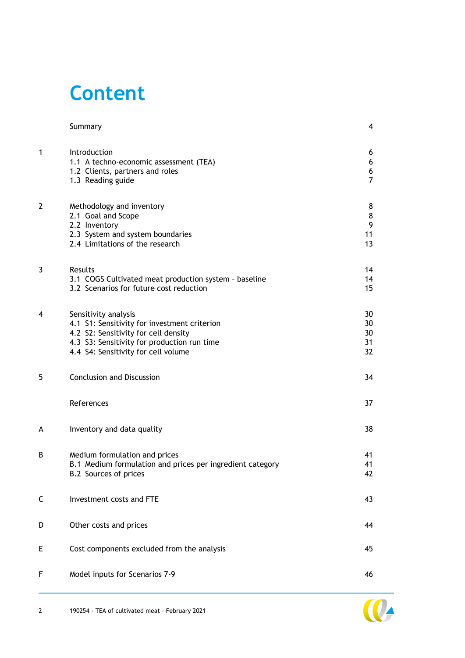## **Content**

|                | Summary                                                                                                                                                                                            | 4                             |
|----------------|----------------------------------------------------------------------------------------------------------------------------------------------------------------------------------------------------|-------------------------------|
| 1              | Introduction<br>1.1 A techno-economic assessment (TEA)<br>1.2 Clients, partners and roles<br>1.3 Reading guide                                                                                     | 6<br>6<br>6<br>$\overline{7}$ |
| $\overline{2}$ | Methodology and inventory<br>2.1 Goal and Scope<br>2.2 Inventory<br>2.3 System and system boundaries<br>2.4 Limitations of the research                                                            | 8<br>8<br>9<br>11<br>13       |
| 3              | Results<br>3.1 COGS Cultivated meat production system - baseline<br>3.2 Scenarios for future cost reduction                                                                                        | 14<br>14<br>15                |
| $\overline{4}$ | Sensitivity analysis<br>4.1 S1: Sensitivity for investment criterion<br>4.2 S2: Sensitivity for cell density<br>4.3 S3: Sensitivity for production run time<br>4.4 S4: Sensitivity for cell volume | 30<br>30<br>30<br>31<br>32    |
| 5              | <b>Conclusion and Discussion</b>                                                                                                                                                                   | 34                            |
|                | References                                                                                                                                                                                         | 37                            |
| A              | Inventory and data quality                                                                                                                                                                         | 38                            |
| B              | Medium formulation and prices<br>B.1 Medium formulation and prices per ingredient category<br>B.2 Sources of prices                                                                                | 41<br>41<br>42                |
| C              | Investment costs and FTE                                                                                                                                                                           | 43                            |
| D              | Other costs and prices                                                                                                                                                                             | 44                            |
| Е              | Cost components excluded from the analysis                                                                                                                                                         | 45                            |
| F              | Model inputs for Scenarios 7-9                                                                                                                                                                     | 46                            |

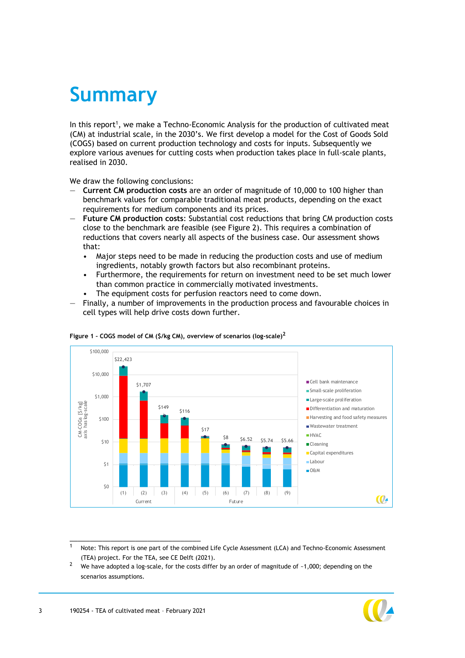## <span id="page-3-0"></span>**Summary**

In this report<sup>1</sup>, we make a Techno-Economic Analysis for the production of cultivated meat (CM) at industrial scale, in the 2030's. We first develop a model for the Cost of Goods Sold (COGS) based on current production technology and costs for inputs. Subsequently we explore various avenues for cutting costs when production takes place in full-scale plants, realised in 2030.

We draw the following conclusions:

- **Current CM production costs** are an order of magnitude of 10,000 to 100 higher than benchmark values for comparable traditional meat products, depending on the exact requirements for medium components and its prices.
- **Future CM production costs**: Substantial cost reductions that bring CM production costs close to the benchmark are feasible (see [Figure 2\)](#page-10-1). This requires a combination of reductions that covers nearly all aspects of the business case. Our assessment shows that:
	- Major steps need to be made in reducing the production costs and use of medium ingredients, notably growth factors but also recombinant proteins.
	- Furthermore, the requirements for return on investment need to be set much lower than common practice in commercially motivated investments.
	- The equipment costs for perfusion reactors need to come down.
- Finally, a number of improvements in the production process and favourable choices in cell types will help drive costs down further.





1 Note: This report is one part of the combined Life Cycle Assessment (LCA) and Techno-Economic Assessment (TEA) project. For the TEA, see CE Delft (2021).

<sup>2</sup> We have adopted a log-scale, for the costs differ by an order of magnitude of ~1,000; depending on the scenarios assumptions.

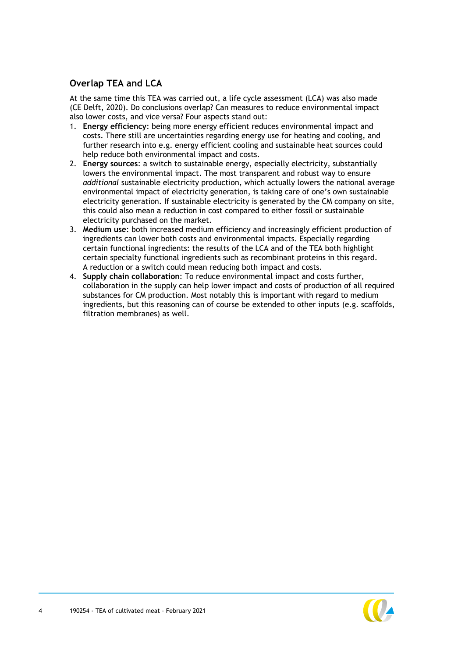## **Overlap TEA and LCA**

At the same time this TEA was carried out, a life cycle assessment (LCA) was also made (CE Delft, 2020). Do conclusions overlap? Can measures to reduce environmental impact also lower costs, and vice versa? Four aspects stand out:

- 1. **Energy efficiency**: being more energy efficient reduces environmental impact and costs. There still are uncertainties regarding energy use for heating and cooling, and further research into e.g. energy efficient cooling and sustainable heat sources could help reduce both environmental impact and costs.
- 2. **Energy sources**: a switch to sustainable energy, especially electricity, substantially lowers the environmental impact. The most transparent and robust way to ensure *additional* sustainable electricity production, which actually lowers the national average environmental impact of electricity generation, is taking care of one's own sustainable electricity generation. If sustainable electricity is generated by the CM company on site, this could also mean a reduction in cost compared to either fossil or sustainable electricity purchased on the market.
- 3. **Medium use**: both increased medium efficiency and increasingly efficient production of ingredients can lower both costs and environmental impacts. Especially regarding certain functional ingredients: the results of the LCA and of the TEA both highlight certain specialty functional ingredients such as recombinant proteins in this regard. A reduction or a switch could mean reducing both impact and costs.
- 4. **Supply chain collaboration**: To reduce environmental impact and costs further, collaboration in the supply can help lower impact and costs of production of all required substances for CM production. Most notably this is important with regard to medium ingredients, but this reasoning can of course be extended to other inputs (e.g. scaffolds, filtration membranes) as well.

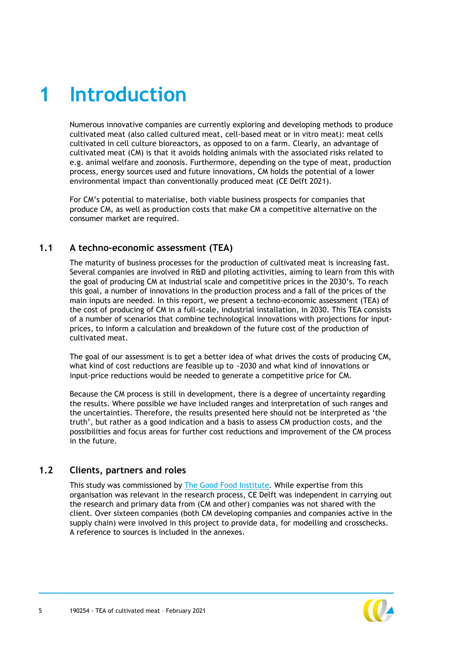# <span id="page-5-0"></span>**1 Introduction**

Numerous innovative companies are currently exploring and developing methods to produce cultivated meat (also called cultured meat, cell-based meat or in vitro meat): meat cells cultivated in cell culture bioreactors, as opposed to on a farm. Clearly, an advantage of cultivated meat (CM) is that it avoids holding animals with the associated risks related to e.g. animal welfare and zoonosis. Furthermore, depending on the type of meat, production process, energy sources used and future innovations, CM holds the potential of a lower environmental impact than conventionally produced meat (CE Delft 2021).

<span id="page-5-1"></span>For CM's potential to materialise, both viable business prospects for companies that produce CM, as well as production costs that make CM a competitive alternative on the consumer market are required.

#### **1.1 A techno-economic assessment (TEA)**

The maturity of business processes for the production of cultivated meat is increasing fast. Several companies are involved in R&D and piloting activities, aiming to learn from this with the goal of producing CM at industrial scale and competitive prices in the 2030's. To reach this goal, a number of innovations in the production process and a fall of the prices of the main inputs are needed. In this report, we present a techno-economic assessment (TEA) of the cost of producing of CM in a full-scale, industrial installation, in 2030. This TEA consists of a number of scenarios that combine technological innovations with projections for inputprices, to inform a calculation and breakdown of the future cost of the production of cultivated meat.

The goal of our assessment is to get a better idea of what drives the costs of producing CM, what kind of cost reductions are feasible up to ~2030 and what kind of innovations or input-price reductions would be needed to generate a competitive price for CM.

Because the CM process is still in development, there is a degree of uncertainty regarding the results. Where possible we have included ranges and interpretation of such ranges and the uncertainties. Therefore, the results presented here should not be interpreted as 'the truth', but rather as a good indication and a basis to assess CM production costs, and the possibilities and focus areas for further cost reductions and improvement of the CM process in the future.

#### <span id="page-5-2"></span>**1.2 Clients, partners and roles**

This study was commissioned by [The Good Food Institute.](http://www.gfi.org/) While expertise from this organisation was relevant in the research process, CE Delft was independent in carrying out the research and primary data from (CM and other) companies was not shared with the client. Over sixteen companies (both CM developing companies and companies active in the supply chain) were involved in this project to provide data, for modelling and crosschecks. A reference to sources is included in the annexes.

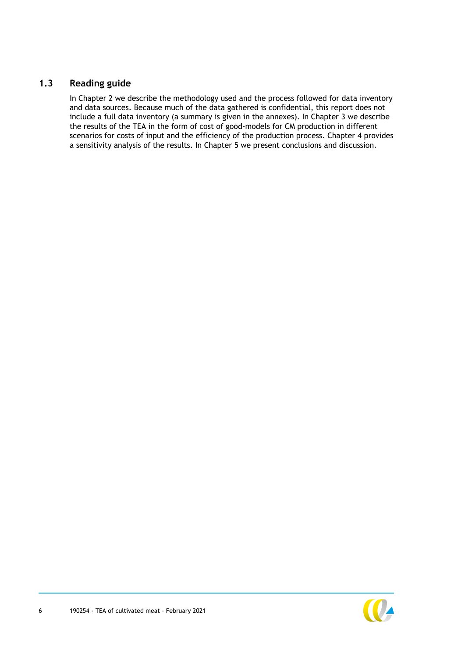### **1.3 Reading guide**

<span id="page-6-0"></span>In Chapter [2](#page-7-0) we describe the methodology used and the process followed for data inventory and data sources. Because much of the data gathered is confidential, this report does not include a full data inventory (a summary is given in the annexes). In Chapter [3](#page-13-0) we describe the results of the TEA in the form of cost of good-models for CM production in different scenarios for costs of input and the efficiency of the production process. Chapter [4](#page-29-0) provides a sensitivity analysis of the results. In Chapter [5](#page-33-0) we present conclusions and discussion.

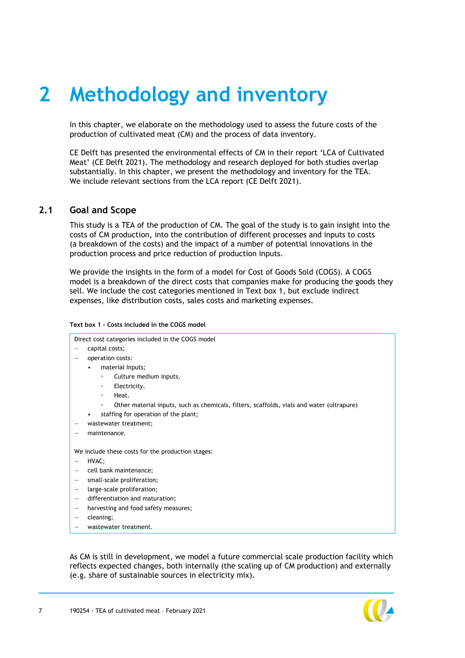# <span id="page-7-0"></span>**2 Methodology and inventory**

In this chapter, we elaborate on the methodology used to assess the future costs of the production of cultivated meat (CM) and the process of data inventory.

CE Delft has presented the environmental effects of CM in their report 'LCA of Cultivated Meat' (CE Delft 2021). The methodology and research deployed for both studies overlap substantially. In this chapter, we present the methodology and inventory for the TEA. We include relevant sections from the LCA report (CE Delft 2021).

#### <span id="page-7-1"></span>**2.1 Goal and Scope**

This study is a TEA of the production of CM. The goal of the study is to gain insight into the costs of CM production, into the contribution of different processes and inputs to costs (a breakdown of the costs) and the impact of a number of potential innovations in the production process and price reduction of production inputs.

We provide the insights in the form of a model for Cost of Goods Sold (COGS). A COGS model is a breakdown of the direct costs that companies make for producing the goods they sell. We include the cost categories mentioned in [Text box 1,](#page-7-2) but exclude indirect expenses, like distribution costs, sales costs and marketing expenses.

|                          | Direct cost categories included in the COGS model                                                    |  |  |  |
|--------------------------|------------------------------------------------------------------------------------------------------|--|--|--|
| —                        | capital costs;                                                                                       |  |  |  |
|                          | operation costs:                                                                                     |  |  |  |
|                          | material Inputs;                                                                                     |  |  |  |
|                          | Culture medium inputs.<br>$\circ$                                                                    |  |  |  |
|                          | Electricity.<br>$\circ$                                                                              |  |  |  |
|                          | Heat.<br>$\circ$                                                                                     |  |  |  |
|                          | Other material inputs, such as chemicals, filters, scaffolds, vials and water (ultrapure)<br>$\circ$ |  |  |  |
|                          | staffing for operation of the plant;<br>٠                                                            |  |  |  |
|                          | wastewater treatment;                                                                                |  |  |  |
|                          | maintenance.                                                                                         |  |  |  |
|                          | We include these costs for the production stages:                                                    |  |  |  |
| —                        | HVAC;                                                                                                |  |  |  |
|                          | cell bank maintenance;                                                                               |  |  |  |
| $\overline{\phantom{m}}$ | small-scale proliferation;                                                                           |  |  |  |
| $\overline{\phantom{m}}$ | large-scale proliferation;                                                                           |  |  |  |
| $\overline{\phantom{m}}$ | differentiation and maturation;                                                                      |  |  |  |
| $\overline{\phantom{m}}$ | harvesting and food safety measures;                                                                 |  |  |  |
| $\qquad \qquad -$        | cleaning;                                                                                            |  |  |  |
|                          | wastewater treatment.                                                                                |  |  |  |

As CM is still in development, we model a future commercial scale production facility which reflects expected changes, both internally (the scaling up of CM production) and externally (e.g. share of sustainable sources in electricity mix).



<span id="page-7-2"></span>**Text box 1 - Costs included in the COGS model**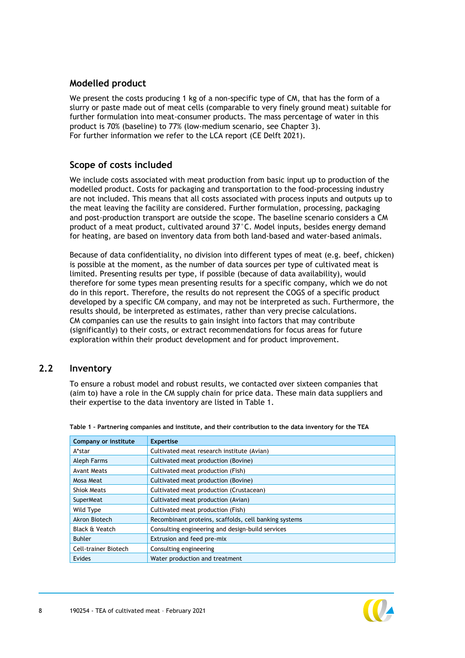#### **Modelled product**

We present the costs producing 1 kg of a non-specific type of CM, that has the form of a slurry or paste made out of meat cells (comparable to very finely ground meat) suitable for further formulation into meat-consumer products. The mass percentage of water in this product is 70% (baseline) to 77% (low-medium scenario, see Chapter [3\)](#page-13-0). For further information we refer to the LCA report (CE Delft 2021).

#### **Scope of costs included**

We include costs associated with meat production from basic input up to production of the modelled product. Costs for packaging and transportation to the food-processing industry are not included. This means that all costs associated with process inputs and outputs up to the meat leaving the facility are considered. Further formulation, processing, packaging and post-production transport are outside the scope. The baseline scenario considers a CM product of a meat product, cultivated around 37°C. Model inputs, besides energy demand for heating, are based on inventory data from both land-based and water-based animals.

Because of data confidentiality, no division into different types of meat (e.g. beef, chicken) is possible at the moment, as the number of data sources per type of cultivated meat is limited. Presenting results per type, if possible (because of data availability), would therefore for some types mean presenting results for a specific company, which we do not do in this report. Therefore, the results do not represent the COGS of a specific product developed by a specific CM company, and may not be interpreted as such. Furthermore, the results should, be interpreted as estimates, rather than very precise calculations. CM companies can use the results to gain insight into factors that may contribute (significantly) to their costs, or extract recommendations for focus areas for future exploration within their product development and for product improvement.

## <span id="page-8-0"></span>**2.2 Inventory**

To ensure a robust model and robust results, we contacted over sixteen companies that (aim to) have a role in the CM supply chain for price data. These main data suppliers and their expertise to the data inventory are listed in [Table 1.](#page-8-1)

| Company or institute      | <b>Expertise</b>                                      |
|---------------------------|-------------------------------------------------------|
| A*star                    | Cultivated meat research institute (Avian)            |
| Aleph Farms               | Cultivated meat production (Bovine)                   |
| <b>Avant Meats</b>        | Cultivated meat production (Fish)                     |
| Mosa Meat                 | Cultivated meat production (Bovine)                   |
| <b>Shiok Meats</b>        | Cultivated meat production (Crustacean)               |
| <b>SuperMeat</b>          | Cultivated meat production (Avian)                    |
| Wild Type                 | Cultivated meat production (Fish)                     |
| Akron Biotech             | Recombinant proteins, scaffolds, cell banking systems |
| <b>Black &amp; Veatch</b> | Consulting engineering and design-build services      |
| <b>Buhler</b>             | Extrusion and feed pre-mix                            |
| Cell-trainer Biotech      | Consulting engineering                                |
| <b>Evides</b>             | Water production and treatment                        |

<span id="page-8-1"></span>**Table 1 – Partnering companies and institute, and their contribution to the data inventory for the TEA**

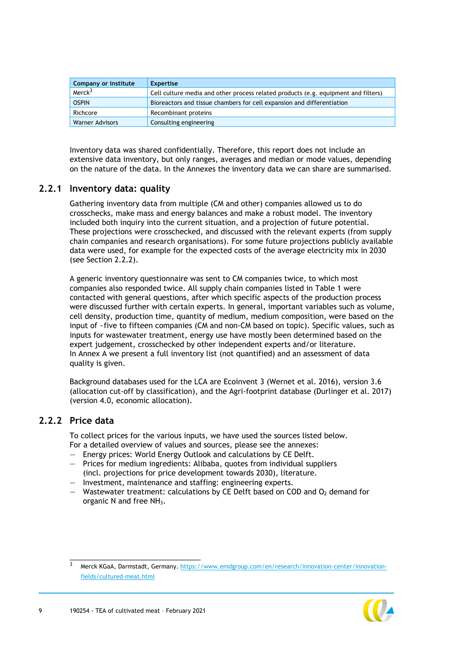| Company or institute   | <b>Expertise</b>                                                                   |
|------------------------|------------------------------------------------------------------------------------|
| Merck <sup>3</sup>     | Cell culture media and other process related products (e.g. equipment and filters) |
| <b>OSPIN</b>           | Bioreactors and tissue chambers for cell expansion and differentiation             |
| Richcore               | Recombinant proteins                                                               |
| <b>Warner Advisors</b> | Consulting engineering                                                             |

Inventory data was shared confidentially. Therefore, this report does not include an extensive data inventory, but only ranges, averages and median or mode values, depending on the nature of the data. In the Annexes the inventory data we can share are summarised.

#### **2.2.1 Inventory data: quality**

Gathering inventory data from multiple (CM and other) companies allowed us to do crosschecks, make mass and energy balances and make a robust model. The inventory included both inquiry into the current situation, and a projection of future potential. These projections were crosschecked, and discussed with the relevant experts (from supply chain companies and research organisations). For some future projections publicly available data were used, for example for the expected costs of the average electricity mix in 2030 (see Section [2.2.2\)](#page-9-0).

A generic inventory questionnaire was sent to CM companies twice, to which most companies also responded twice. All supply chain companies listed in [Table 1](#page-8-1) were contacted with general questions, after which specific aspects of the production process were discussed further with certain experts. In general, important variables such as volume, cell density, production time, quantity of medium, medium composition, were based on the input of ~five to fifteen companies (CM and non-CM based on topic). Specific values, such as inputs for wastewater treatment, energy use have mostly been determined based on the expert judgement, crosschecked by other independent experts and/or literature. In Annex [A](#page-37-0) we present a full inventory list (not quantified) and an assessment of data quality is given.

Background databases used for the LCA are Ecoinvent 3 (Wernet et al. 2016), version 3.6 (allocation cut-off by classification), and the Agri-footprint database (Durlinger et al. 2017) (version 4.0, economic allocation).

#### **2.2.2 Price data**

<span id="page-9-0"></span>To collect prices for the various inputs, we have used the sources listed below. For a detailed overview of values and sources, please see the annexes:

- Energy prices: World Energy Outlook and calculations by CE Delft.
- Prices for medium ingredients: Alibaba, quotes from individual suppliers (incl. projections for price development towards 2030), literature.
- Investment, maintenance and staffing: engineering experts.
- $-$  Wastewater treatment: calculations by CE Delft based on COD and  $O<sub>2</sub>$  demand for organic N and free NH<sub>3</sub>.

<sup>3</sup> Merck KGaA, Darmstadt, Germany. [https://www.emdgroup.com/en/research/innovation-center/innovation](https://www.emdgroup.com/en/research/innovation-center/innovation-fields/cultured-meat.html)[fields/cultured-meat.html](https://www.emdgroup.com/en/research/innovation-center/innovation-fields/cultured-meat.html)

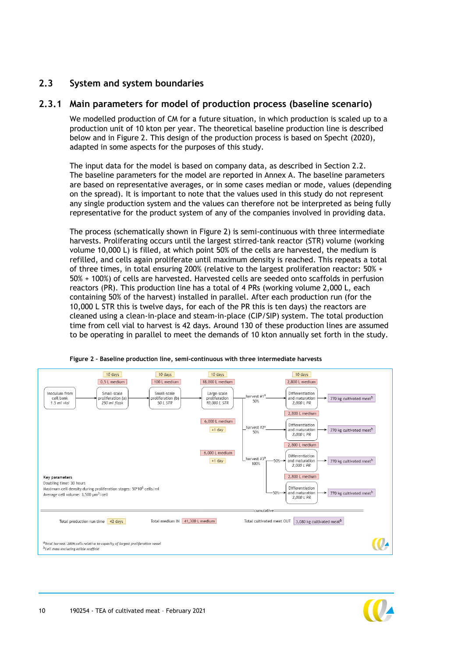### <span id="page-10-3"></span><span id="page-10-0"></span>**2.3 System and system boundaries**

#### **2.3.1 Main parameters for model of production process (baseline scenario)**

<span id="page-10-2"></span>We modelled production of CM for a future situation, in which production is scaled up to a production unit of 10 kton per year. The theoretical baseline production line is described below and in [Figure 2.](#page-10-1) This design of the production process is based on Specht (2020), adapted in some aspects for the purposes of this study.

The input data for the model is based on company data, as described in Section [2.2.](#page-8-0) The baseline parameters for the model are reported in Annex [A.](#page-37-0) The baseline parameters are based on representative averages, or in some cases median or mode, values (depending on the spread). It is important to note that the values used in this study do not represent any single production system and the values can therefore not be interpreted as being fully representative for the product system of any of the companies involved in providing data.

The process (schematically shown in [Figure 2\)](#page-10-1) is semi-continuous with three intermediate harvests. Proliferating occurs until the largest stirred-tank reactor (STR) volume (working volume 10,000 L) is filled, at which point 50% of the cells are harvested, the medium is refilled, and cells again proliferate until maximum density is reached. This repeats a total of three times, in total ensuring 200% (relative to the largest proliferation reactor: 50% + 50% + 100%) of cells are harvested. Harvested cells are seeded onto scaffolds in perfusion reactors (PR). This production line has a total of 4 PRs (working volume 2,000 L, each containing 50% of the harvest) installed in parallel. After each production run (for the 10,000 L STR this is twelve days, for each of the PR this is ten days) the reactors are cleaned using a clean-in-place and steam-in-place (CIP/SIP) system. The total production time from cell vial to harvest is 42 days. Around 130 of these production lines are assumed to be operating in parallel to meet the demands of 10 kton annually set forth in the study.



<span id="page-10-1"></span>**Figure 2 – Baseline production line, semi-continuous with three intermediate harvests**

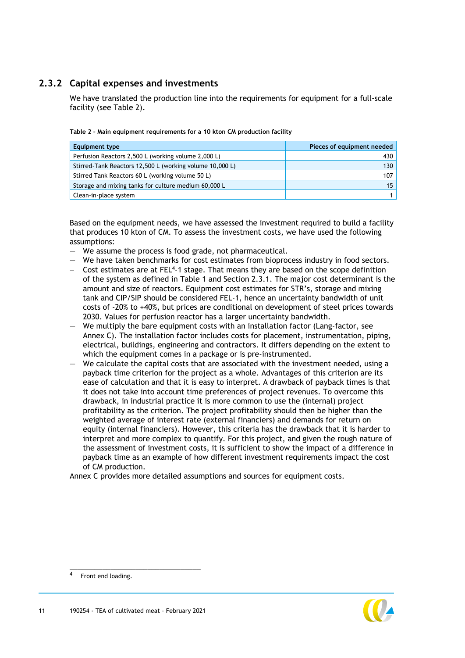## **2.3.2 Capital expenses and investments**

<span id="page-11-1"></span>We have translated the production line into the requirements for equipment for a full-scale facility (see [Table 2\)](#page-11-0).

| Equipment type                                           | Pieces of equipment needed |
|----------------------------------------------------------|----------------------------|
| Perfusion Reactors 2,500 L (working volume 2,000 L)      | 430                        |
| Stirred-Tank Reactors 12,500 L (working volume 10,000 L) | 130                        |
| Stirred Tank Reactors 60 L (working volume 50 L)         | 107                        |
| Storage and mixing tanks for culture medium 60,000 L     | 15 <sup>1</sup>            |
| Clean-in-place system                                    |                            |

<span id="page-11-0"></span>**Table 2 – Main equipment requirements for a 10 kton CM production facility**

Based on the equipment needs, we have assessed the investment required to build a facility that produces 10 kton of CM. To assess the investment costs, we have used the following assumptions:

- We assume the process is food grade, not pharmaceutical.
- We have taken benchmarks for cost estimates from bioprocess industry in food sectors.
- $-$  Cost estimates are at FEL<sup>4</sup>-1 stage. That means they are based on the scope definition of the system as defined in [Table 1](#page-8-1) and Section [2.3.1.](#page-10-2) The major cost determinant is the amount and size of reactors. Equipment cost estimates for STR's, storage and mixing tank and CIP/SIP should be considered FEL-1, hence an uncertainty bandwidth of unit costs of -20% to +40%, but prices are conditional on development of steel prices towards 2030. Values for perfusion reactor has a larger uncertainty bandwidth.
- We multiply the bare equipment costs with an installation factor (Lang-factor, see Annex [C\)](#page-42-0). The installation factor includes costs for placement, instrumentation, piping, electrical, buildings, engineering and contractors. It differs depending on the extent to which the equipment comes in a package or is pre-instrumented.
- We calculate the capital costs that are associated with the investment needed, using a payback time criterion for the project as a whole. Advantages of this criterion are its ease of calculation and that it is easy to interpret. A drawback of payback times is that it does not take into account time preferences of project revenues. To overcome this drawback, in industrial practice it is more common to use the (internal) project profitability as the criterion. The project profitability should then be higher than the weighted average of interest rate (external financiers) and demands for return on equity (internal financiers). However, this criteria has the drawback that it is harder to interpret and more complex to quantify. For this project, and given the rough nature of the assessment of investment costs, it is sufficient to show the impact of a difference in payback time as an example of how different investment requirements impact the cost of CM production.

Annex [C](#page-42-0) provides more detailed assumptions and sources for equipment costs.

4



Front end loading.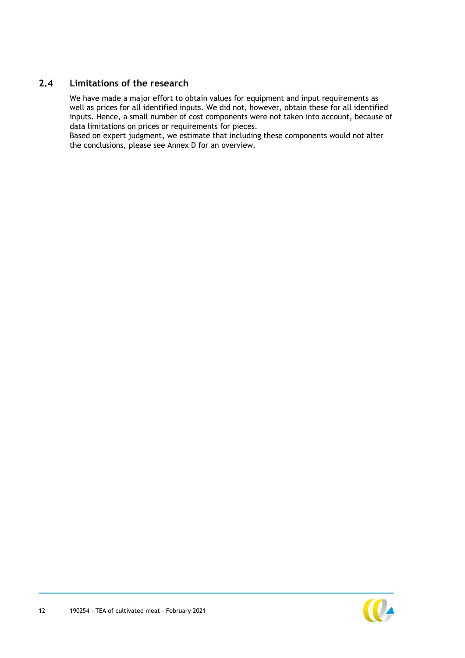### **2.4 Limitations of the research**

<span id="page-12-0"></span>We have made a major effort to obtain values for equipment and input requirements as well as prices for all identified inputs. We did not, however, obtain these for all identified inputs. Hence, a small number of cost components were not taken into account, because of data limitations on prices or requirements for pieces.

Based on expert judgment, we estimate that including these components would not alter the conclusions, please see Annex [D](#page-43-0) for an overview.

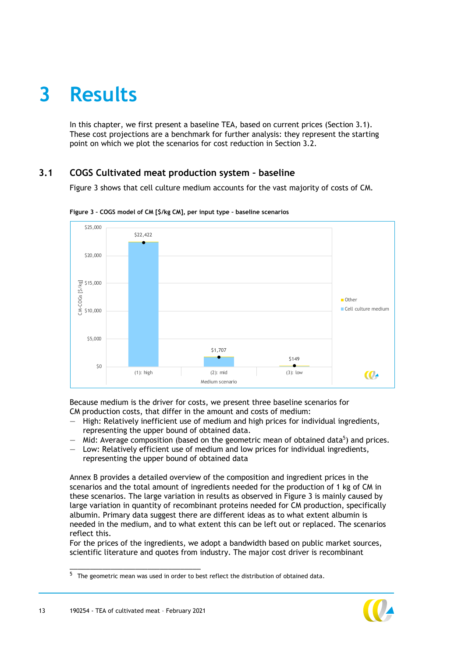## <span id="page-13-0"></span>**3 Results**

<span id="page-13-1"></span>In this chapter, we first present a baseline TEA, based on current prices (Section [3.1\)](#page-13-1). These cost projections are a benchmark for further analysis: they represent the starting point on which we plot the scenarios for cost reduction in Section [3.2.](#page-14-0)

## **3.1 COGS Cultivated meat production system – baseline**

[Figure 3](#page-13-2) shows that cell culture medium accounts for the vast majority of costs of CM.



<span id="page-13-2"></span>**Figure 3 – COGS model of CM [\$/kg CM], per input type – baseline scenarios**

Because medium is the driver for costs, we present three baseline scenarios for CM production costs, that differ in the amount and costs of medium:

- High: Relatively inefficient use of medium and high prices for individual ingredients, representing the upper bound of obtained data.
- $-$  Mid: Average composition (based on the geometric mean of obtained data<sup>5</sup>) and prices.
- Low: Relatively efficient use of medium and low prices for individual ingredients, representing the upper bound of obtained data

Annex [B](#page-40-0) provides a detailed overview of the composition and ingredient prices in the scenarios and the total amount of ingredients needed for the production of 1 kg of CM in these scenarios. The large variation in results as observed in [Figure 3](#page-13-2) is mainly caused by large variation in quantity of recombinant proteins needed for CM production, specifically albumin. Primary data suggest there are different ideas as to what extent albumin is needed in the medium, and to what extent this can be left out or replaced. The scenarios reflect this.

For the prices of the ingredients, we adopt a bandwidth based on public market sources, scientific literature and quotes from industry. The major cost driver is recombinant



<sup>5</sup> The geometric mean was used in order to best reflect the distribution of obtained data.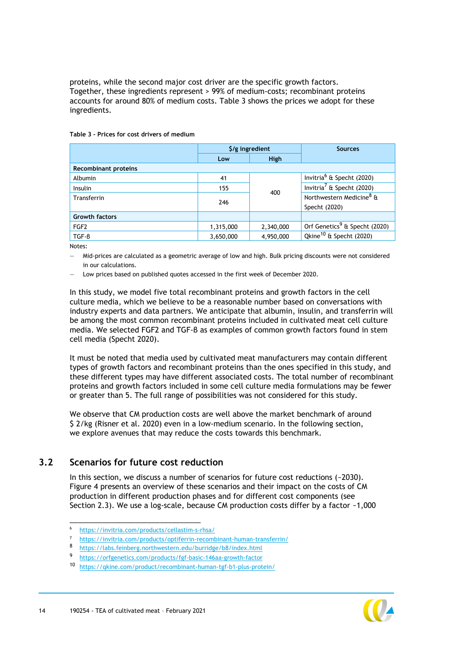proteins, while the second major cost driver are the specific growth factors. Together, these ingredients represent > 99% of medium-costs; recombinant proteins accounts for around 80% of medium costs. [Table 3](#page-14-1) shows the prices we adopt for these ingredients.

| $\frac{1}{2}$ /g ingredient |             | <b>Sources</b>                            |  |
|-----------------------------|-------------|-------------------------------------------|--|
| Low                         | <b>High</b> |                                           |  |
|                             |             |                                           |  |
| 41                          |             | Invitria <sup>6</sup> & Specht (2020)     |  |
| 155                         |             | Invitria <sup>7</sup> & Specht (2020)     |  |
| 246                         |             | Northwestern Medicine <sup>8</sup> &      |  |
|                             |             | Specht (2020)                             |  |
|                             |             |                                           |  |
| 1,315,000                   | 2,340,000   | Orf Genetics <sup>9</sup> & Specht (2020) |  |
| 3,650,000                   | 4,950,000   | Qkine <sup>10</sup> & Specht (2020)       |  |
|                             |             | 400                                       |  |

#### <span id="page-14-1"></span>**Table 3 – Prices for cost drivers of medium**

Notes:

— Mid-prices are calculated as a geometric average of low and high. Bulk pricing discounts were not considered in our calculations.

— Low prices based on published quotes accessed in the first week of December 2020.

In this study, we model five total recombinant proteins and growth factors in the cell culture media, which we believe to be a reasonable number based on conversations with industry experts and data partners. We anticipate that albumin, insulin, and transferrin will be among the most common recombinant proteins included in cultivated meat cell culture media. We selected FGF2 and TGF-β as examples of common growth factors found in stem cell media (Specht 2020).

It must be noted that media used by cultivated meat manufacturers may contain different types of growth factors and recombinant proteins than the ones specified in this study, and these different types may have different associated costs. The total number of recombinant proteins and growth factors included in some cell culture media formulations may be fewer or greater than 5. The full range of possibilities was not considered for this study.

<span id="page-14-0"></span>We observe that CM production costs are well above the market benchmark of around \$ 2/kg (Risner et al. 2020) even in a low-medium scenario. In the following section, we explore avenues that may reduce the costs towards this benchmark.

#### **3.2 Scenarios for future cost reduction**

In this section, we discuss a number of scenarios for future cost reductions (~2030). [Figure 4](#page-16-0) presents an overview of these scenarios and their impact on the costs of CM production in different production phases and for different cost components (see Section [2.3\)](#page-10-0). We use a log-scale, because CM production costs differ by a factor ~1,000



<sup>6</sup> https://invitria.com/products/cellastim-s-rhsa/

<https://invitria.com/products/optiferrin-recombinant-human-transferrin/>

<sup>8</sup> <https://labs.feinberg.northwestern.edu/burridge/b8/index.html>

<sup>9</sup> <https://orfgenetics.com/products/fgf-basic-146aa-growth-factor>

<sup>10</sup> <https://qkine.com/product/recombinant-human-tgf-b1-plus-protein/>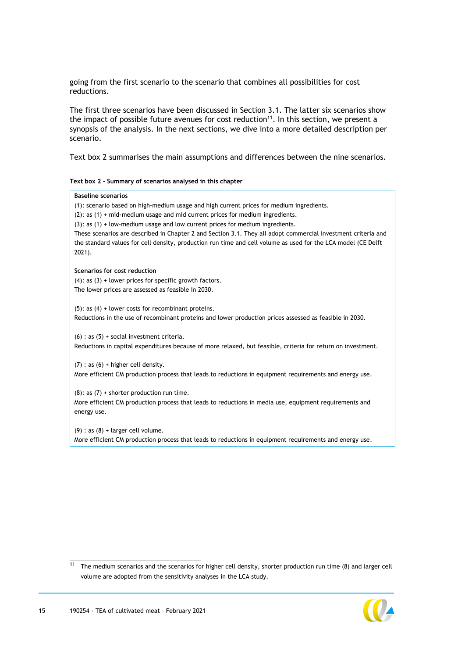going from the first scenario to the scenario that combines all possibilities for cost reductions.

The first three scenarios have been discussed in Section [3.1.](#page-13-1) The latter six scenarios show the impact of possible future avenues for cost reduction $11$ . In this section, we present a synopsis of the analysis. In the next sections, we dive into a more detailed description per scenario.

[Text box 2](#page-15-0) summarises the main assumptions and differences between the nine scenarios.

<span id="page-15-0"></span>**Text box 2 - Summary of scenarios analysed in this chapter**

## **Baseline scenarios** (1): scenario based on high-medium usage and high current prices for medium ingredients. (2): as (1) + mid-medium usage and mid current prices for medium ingredients. (3): as (1) + low-medium usage and low current prices for medium ingredients. These scenarios are described in Chapter [2](#page-7-0) and Section [3.1.](#page-13-1) They all adopt commercial investment criteria and the standard values for cell density, production run time and cell volume as used for the LCA model (CE Delft 2021). **Scenarios for cost reduction**  $(4)$ : as  $(3)$  + lower prices for specific growth factors. The lower prices are assessed as feasible in 2030. (5): as (4) + lower costs for recombinant proteins. Reductions in the use of recombinant proteins and lower production prices assessed as feasible in 2030.  $(6)$  : as  $(5)$  + social investment criteria. Reductions in capital expenditures because of more relaxed, but feasible, criteria for return on investment.  $(7)$  : as  $(6)$  + higher cell density. More efficient CM production process that leads to reductions in equipment requirements and energy use.  $(8)$ : as  $(7)$  + shorter production run time. More efficient CM production process that leads to reductions in media use, equipment requirements and energy use.  $(9)$  : as  $(8)$  + larger cell volume. More efficient CM production process that leads to reductions in equipment requirements and energy use.

 $11$  The medium scenarios and the scenarios for higher cell density, shorter production run time (8) and larger cell volume are adopted from the sensitivity analyses in the LCA study.

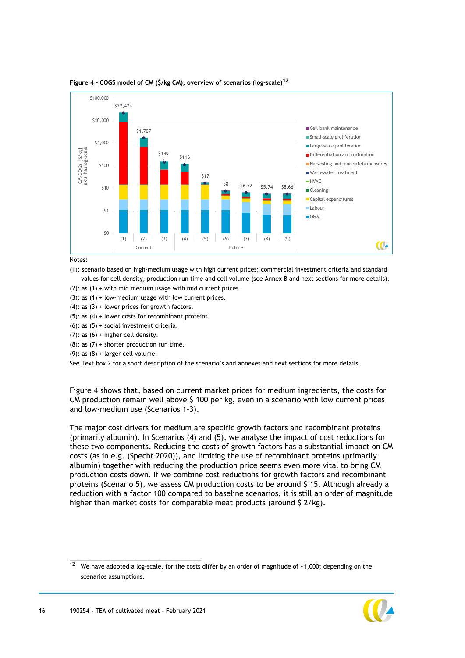

#### <span id="page-16-0"></span>**Figure 4 – COGS model of CM (\$/kg CM), overview of scenarios (log-scale)<sup>12</sup>**

Notes:

(1): scenario based on high-medium usage with high current prices; commercial investment criteria and standard values for cell density, production run time and cell volume (see Anne[x B](#page-40-0) and next sections for more details).

(2): as (1) + with mid medium usage with mid current prices.

- $(3)$ : as  $(1)$  + low-medium usage with low current prices.
- $(4)$ : as  $(3)$  + lower prices for growth factors.
- (5): as (4) + lower costs for recombinant proteins.
- (6): as (5) + social investment criteria.
- (7): as  $(6)$  + higher cell density.
- $(8)$ : as  $(7)$  + shorter production run time.
- $(9)$ : as  $(8)$  + larger cell volume.

See [Text box 2](#page-15-0) for a short description of the scenario's and annexes and next sections for more details.

[Figure 4](#page-16-0) shows that, based on current market prices for medium ingredients, the costs for CM production remain well above \$ 100 per kg, even in a scenario with low current prices and low-medium use (Scenarios 1-3).

The major cost drivers for medium are specific growth factors and recombinant proteins (primarily albumin). In Scenarios (4) and (5), we analyse the impact of cost reductions for these two components. Reducing the costs of growth factors has a substantial impact on CM costs (as in e.g. (Specht 2020)), and limiting the use of recombinant proteins (primarily albumin) together with reducing the production price seems even more vital to bring CM production costs down. If we combine cost reductions for growth factors and recombinant proteins (Scenario 5), we assess CM production costs to be around \$ 15. Although already a reduction with a factor 100 compared to baseline scenarios, it is still an order of magnitude higher than market costs for comparable meat products (around \$ 2/kg).

 $12$  We have adopted a log-scale, for the costs differ by an order of magnitude of ~1,000; depending on the scenarios assumptions.

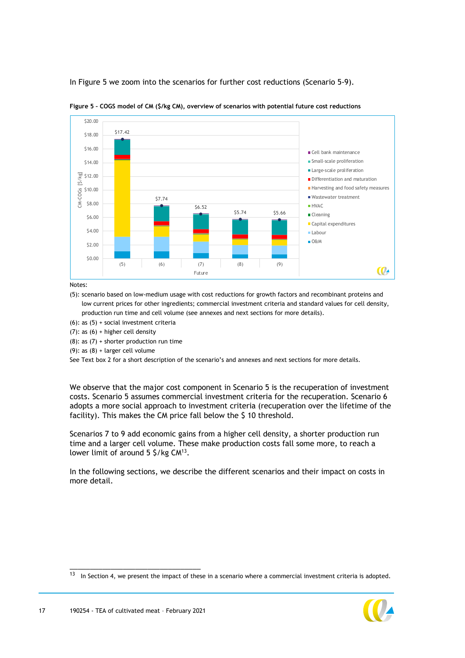In [Figure 5](#page-17-0) we zoom into the scenarios for further cost reductions (Scenario 5-9).



<span id="page-17-0"></span>**Figure 5 – COGS model of CM (\$/kg CM), overview of scenarios with potential future cost reductions**

Notes:

(5): scenario based on low-medium usage with cost reductions for growth factors and recombinant proteins and low current prices for other ingredients; commercial investment criteria and standard values for cell density, production run time and cell volume (see annexes and next sections for more details).

(6): as (5) + social investment criteria

(7): as  $(6)$  + higher cell density

 $(8)$ : as  $(7)$  + shorter production run time

(9): as  $(8)$  + larger cell volume

See [Text box 2](#page-15-0) for a short description of the scenario's and annexes and next sections for more details.

We observe that the major cost component in Scenario 5 is the recuperation of investment costs. Scenario 5 assumes commercial investment criteria for the recuperation. Scenario 6 adopts a more social approach to investment criteria (recuperation over the lifetime of the facility). This makes the CM price fall below the \$ 10 threshold.

Scenarios 7 to 9 add economic gains from a higher cell density, a shorter production run time and a larger cell volume. These make production costs fall some more, to reach a lower limit of around  $5 \frac{\xi}{\kappa}$  CM<sup>13</sup>.

In the following sections, we describe the different scenarios and their impact on costs in more detail.

 $13$  In Section [4,](#page-29-0) we present the impact of these in a scenario where a commercial investment criteria is adopted.

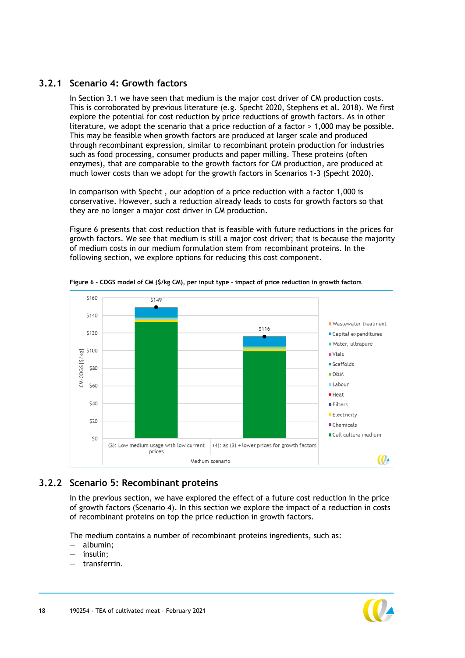## **3.2.1 Scenario 4: Growth factors**

In Section [3.1](#page-13-1) we have seen that medium is the major cost driver of CM production costs. This is corroborated by previous literature (e.g. Specht 2020, Stephens et al. 2018). We first explore the potential for cost reduction by price reductions of growth factors. As in other literature, we adopt the scenario that a price reduction of a factor > 1,000 may be possible. This may be feasible when growth factors are produced at larger scale and produced through recombinant expression, similar to recombinant protein production for industries such as food processing, consumer products and paper milling. These proteins (often enzymes), that are comparable to the growth factors for CM production, are produced at much lower costs than we adopt for the growth factors in Scenarios 1-3 (Specht 2020).

In comparison with Specht , our adoption of a price reduction with a factor 1,000 is conservative. However, such a reduction already leads to costs for growth factors so that they are no longer a major cost driver in CM production.

[Figure 6](#page-18-0) presents that cost reduction that is feasible with future reductions in the prices for growth factors. We see that medium is still a major cost driver; that is because the majority of medium costs in our medium formulation stem from recombinant proteins. In the following section, we explore options for reducing this cost component.



<span id="page-18-0"></span>**Figure 6 – COGS model of CM (\$/kg CM), per input type – impact of price reduction in growth factors**

## **3.2.2 Scenario 5: Recombinant proteins**

In the previous section, we have explored the effect of a future cost reduction in the price of growth factors (Scenario 4). In this section we explore the impact of a reduction in costs of recombinant proteins on top the price reduction in growth factors.

The medium contains a number of recombinant proteins ingredients, such as:

- albumin;
- insulin;
- transferrin.

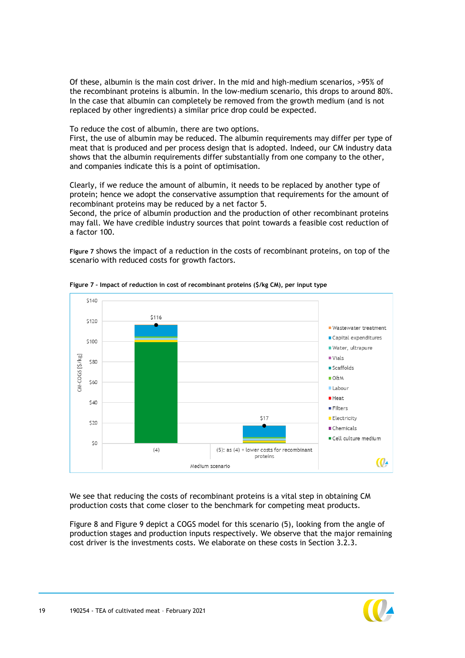Of these, albumin is the main cost driver. In the mid and high-medium scenarios, >95% of the recombinant proteins is albumin. In the low-medium scenario, this drops to around 80%. In the case that albumin can completely be removed from the growth medium (and is not replaced by other ingredients) a similar price drop could be expected.

To reduce the cost of albumin, there are two options.

First, the use of albumin may be reduced. The albumin requirements may differ per type of meat that is produced and per process design that is adopted. Indeed, our CM industry data shows that the albumin requirements differ substantially from one company to the other, and companies indicate this is a point of optimisation.

Clearly, if we reduce the amount of albumin, it needs to be replaced by another type of protein; hence we adopt the conservative assumption that requirements for the amount of recombinant proteins may be reduced by a net factor 5.

Second, the price of albumin production and the production of other recombinant proteins may fall. We have credible industry sources that point towards a feasible cost reduction of a factor 100.

**[Figure 7](#page-19-0)** shows the impact of a reduction in the costs of recombinant proteins, on top of the scenario with reduced costs for growth factors.



<span id="page-19-0"></span>**Figure 7 – Impact of reduction in cost of recombinant proteins (\$/kg CM), per input type**

We see that reducing the costs of recombinant proteins is a vital step in obtaining CM production costs that come closer to the benchmark for competing meat products.

[Figure 8](#page-20-0) and [Figure 9](#page-20-1) depict a COGS model for this scenario (5), looking from the angle of production stages and production inputs respectively. We observe that the major remaining cost driver is the investments costs. We elaborate on these costs in Section [3.2.3.](#page-20-2)

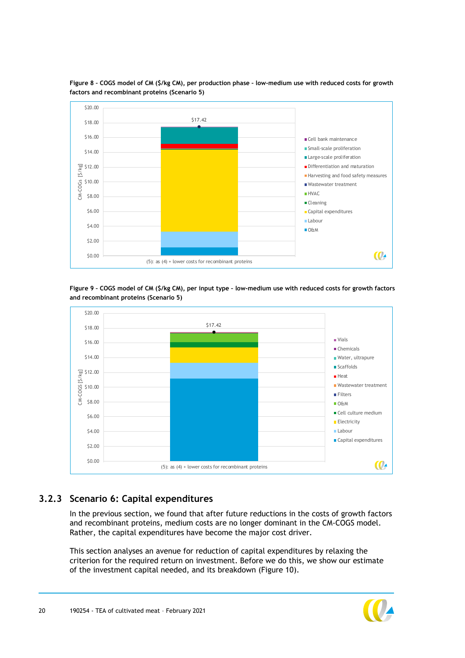

<span id="page-20-0"></span>**Figure 8 – COGS model of CM (\$/kg CM), per production phase – low-medium use with reduced costs for growth factors and recombinant proteins (Scenario 5)**

<span id="page-20-1"></span>**Figure 9 – COGS model of CM (\$/kg CM), per input type – low-medium use with reduced costs for growth factors and recombinant proteins (Scenario 5)**



## **3.2.3 Scenario 6: Capital expenditures**

<span id="page-20-2"></span>In the previous section, we found that after future reductions in the costs of growth factors and recombinant proteins, medium costs are no longer dominant in the CM-COGS model. Rather, the capital expenditures have become the major cost driver.

This section analyses an avenue for reduction of capital expenditures by relaxing the criterion for the required return on investment. Before we do this, we show our estimate of the investment capital needed, and its breakdown [\(Figure 10\)](#page-21-0).

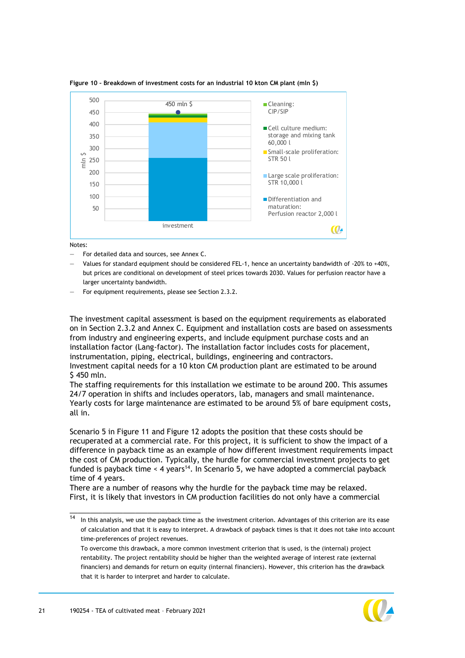

<span id="page-21-0"></span>**Figure 10 – Breakdown of investment costs for an industrial 10 kton CM plant (mln \$)**

Notes:

- For detailed data and sources, see Annex [C.](#page-42-0)
- Values for standard equipment should be considered FEL-1, hence an uncertainty bandwidth of -20% to +40%, but prices are conditional on development of steel prices towards 2030. Values for perfusion reactor have a larger uncertainty bandwidth.
- For equipment requirements, please see Section [2.3.2.](#page-11-1)

The investment capital assessment is based on the equipment requirements as elaborated on in Section [2.3.2](#page-11-1) and Annex [C.](#page-42-0) Equipment and installation costs are based on assessments from industry and engineering experts, and include equipment purchase costs and an installation factor (Lang-factor). The installation factor includes costs for placement, instrumentation, piping, electrical, buildings, engineering and contractors. Investment capital needs for a 10 kton CM production plant are estimated to be around \$ 450 mln.

The staffing requirements for this installation we estimate to be around 200. This assumes 24/7 operation in shifts and includes operators, lab, managers and small maintenance. Yearly costs for large maintenance are estimated to be around 5% of bare equipment costs, all in.

Scenario 5 in [Figure 11](#page-22-0) and [Figure 12](#page-23-0) adopts the position that these costs should be recuperated at a commercial rate. For this project, it is sufficient to show the impact of a difference in payback time as an example of how different investment requirements impact the cost of CM production. Typically, the hurdle for commercial investment projects to get funded is payback time < 4 years<sup>14</sup>. In Scenario 5, we have adopted a commercial payback time of 4 years.

There are a number of reasons why the hurdle for the payback time may be relaxed. First, it is likely that investors in CM production facilities do not only have a commercial

To overcome this drawback, a more common investment criterion that is used, is the (internal) project rentability. The project rentability should be higher than the weighted average of interest rate (external financiers) and demands for return on equity (internal financiers). However, this criterion has the drawback that it is harder to interpret and harder to calculate.



 $\frac{14}{14}$  In this analysis, we use the payback time as the investment criterion. Advantages of this criterion are its ease of calculation and that it is easy to interpret. A drawback of payback times is that it does not take into account time-preferences of project revenues.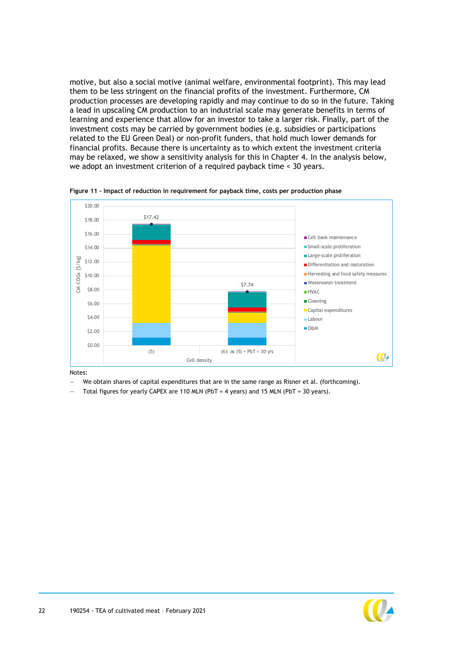motive, but also a social motive (animal welfare, environmental footprint). This may lead them to be less stringent on the financial profits of the investment. Furthermore, CM production processes are developing rapidly and may continue to do so in the future. Taking a lead in upscaling CM production to an industrial scale may generate benefits in terms of learning and experience that allow for an investor to take a larger risk. Finally, part of the investment costs may be carried by government bodies (e.g. subsidies or participations related to the EU Green Deal) or non-profit funders, that hold much lower demands for financial profits. Because there is uncertainty as to which extent the investment criteria may be relaxed, we show a sensitivity analysis for this in Chapter [4.](#page-29-0) In the analysis below, we adopt an investment criterion of a required payback time < 30 years.



<span id="page-22-0"></span>**Figure 11 – Impact of reduction in requirement for payback time, costs per production phase**

Notes:

We obtain shares of capital expenditures that are in the same range as Risner et al. (forthcoming).

Total figures for yearly CAPEX are 110 MLN (PbT = 4 years) and 15 MLN (PbT = 30 years).

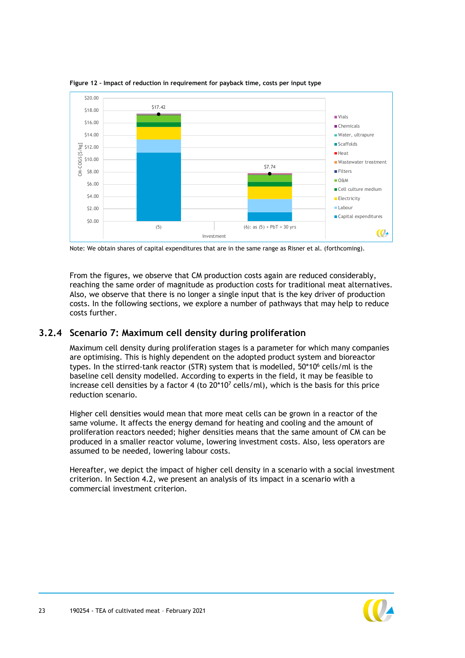

<span id="page-23-0"></span>**Figure 12 – Impact of reduction in requirement for payback time, costs per input type**

Note: We obtain shares of capital expenditures that are in the same range as Risner et al. (forthcoming).

From the figures, we observe that CM production costs again are reduced considerably, reaching the same order of magnitude as production costs for traditional meat alternatives. Also, we observe that there is no longer a single input that is the key driver of production costs. In the following sections, we explore a number of pathways that may help to reduce costs further.

#### **3.2.4 Scenario 7: Maximum cell density during proliferation**

<span id="page-23-1"></span>Maximum cell density during proliferation stages is a parameter for which many companies are optimising. This is highly dependent on the adopted product system and bioreactor types. In the stirred-tank reactor (STR) system that is modelled, 50\*10<sup>6</sup> cells/ml is the baseline cell density modelled. According to experts in the field, it may be feasible to increase cell densities by a factor 4 (to  $20*10<sup>7</sup>$  cells/ml), which is the basis for this price reduction scenario.

Higher cell densities would mean that more meat cells can be grown in a reactor of the same volume. It affects the energy demand for heating and cooling and the amount of proliferation reactors needed; higher densities means that the same amount of CM can be produced in a smaller reactor volume, lowering investment costs. Also, less operators are assumed to be needed, lowering labour costs.

Hereafter, we depict the impact of higher cell density in a scenario with a social investment criterion. In Section [4.2,](#page-29-2) we present an analysis of its impact in a scenario with a commercial investment criterion.

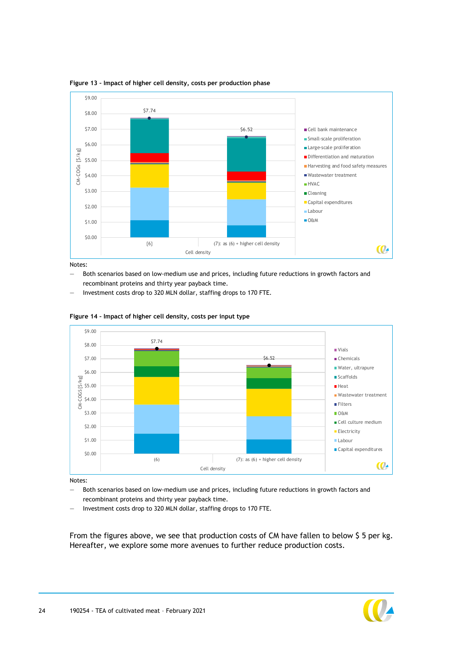

**Figure 13 – Impact of higher cell density, costs per production phase**

Notes:

- Both scenarios based on low-medium use and prices, including future reductions in growth factors and recombinant proteins and thirty year payback time.
- Investment costs drop to 320 MLN dollar, staffing drops to 170 FTE.



**Figure 14 – Impact of higher cell density, costs per input type**

Notes:

- Both scenarios based on low-medium use and prices, including future reductions in growth factors and recombinant proteins and thirty year payback time.
- Investment costs drop to 320 MLN dollar, staffing drops to 170 FTE.

From the figures above, we see that production costs of CM have fallen to below \$ 5 per kg. Hereafter, we explore some more avenues to further reduce production costs.

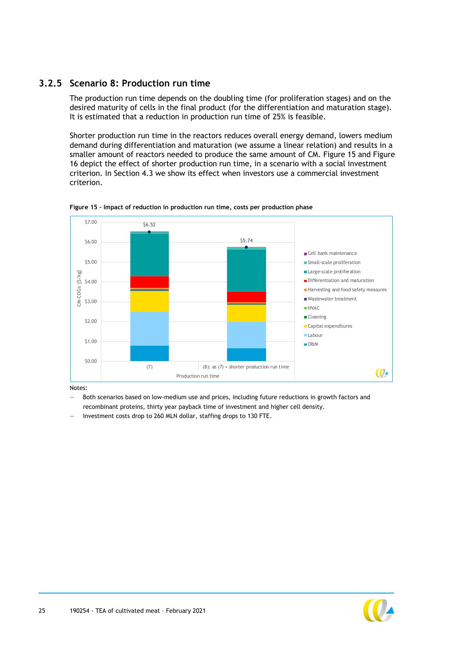### **3.2.5 Scenario 8: Production run time**

The production run time depends on the doubling time (for proliferation stages) and on the desired maturity of cells in the final product (for the differentiation and maturation stage). It is estimated that a reduction in production run time of 25% is feasible.

Shorter production run time in the reactors reduces overall energy demand, lowers medium demand during differentiation and maturation (we assume a linear relation) and results in a smaller amount of reactors needed to produce the same amount of CM. [Figure 15](#page-25-0) and [Figure](#page-26-0)  [16](#page-26-0) depict the effect of shorter production run time, in a scenario with a social investment criterion. In Section [4.3](#page-30-0) we show its effect when investors use a commercial investment criterion.



<span id="page-25-0"></span>**Figure 15 – Impact of reduction in production run time, costs per production phase**

Notes:

- Both scenarios based on low-medium use and prices, including future reductions in growth factors and recombinant proteins, thirty year payback time of investment and higher cell density.
- Investment costs drop to 260 MLN dollar, staffing drops to 130 FTE.

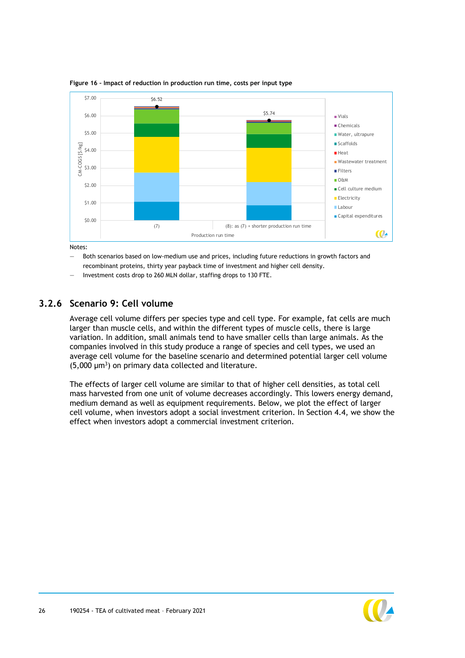

<span id="page-26-0"></span>**Figure 16 – Impact of reduction in production run time, costs per input type**

Notes:

- Both scenarios based on low-medium use and prices, including future reductions in growth factors and recombinant proteins, thirty year payback time of investment and higher cell density.
- Investment costs drop to 260 MLN dollar, staffing drops to 130 FTE.

#### **3.2.6 Scenario 9: Cell volume**

Average cell volume differs per species type and cell type. For example, fat cells are much larger than muscle cells, and within the different types of muscle cells, there is large variation. In addition, small animals tend to have smaller cells than large animals. As the companies involved in this study produce a range of species and cell types, we used an average cell volume for the baseline scenario and determined potential larger cell volume  $(5,000 \mu m^3)$  on primary data collected and literature.

The effects of larger cell volume are similar to that of higher cell densities, as total cell mass harvested from one unit of volume decreases accordingly. This lowers energy demand, medium demand as well as equipment requirements. Below, we plot the effect of larger cell volume, when investors adopt a social investment criterion. In Section [4.4,](#page-31-0) we show the effect when investors adopt a commercial investment criterion.

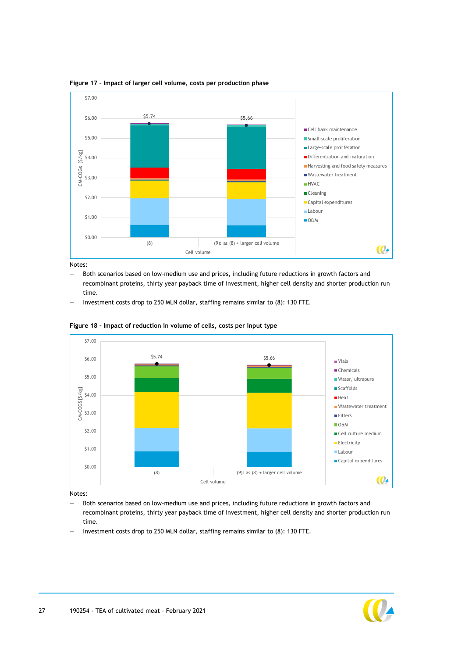

**Figure 17 – Impact of larger cell volume, costs per production phase**

Notes:

- Both scenarios based on low-medium use and prices, including future reductions in growth factors and recombinant proteins, thirty year payback time of investment, higher cell density and shorter production run time.
- Investment costs drop to 250 MLN dollar, staffing remains similar to (8): 130 FTE.



**Figure 18 – Impact of reduction in volume of cells, costs per input type**

Notes:

- Both scenarios based on low-medium use and prices, including future reductions in growth factors and recombinant proteins, thirty year payback time of investment, higher cell density and shorter production run time.
- Investment costs drop to 250 MLN dollar, staffing remains similar to (8): 130 FTE.

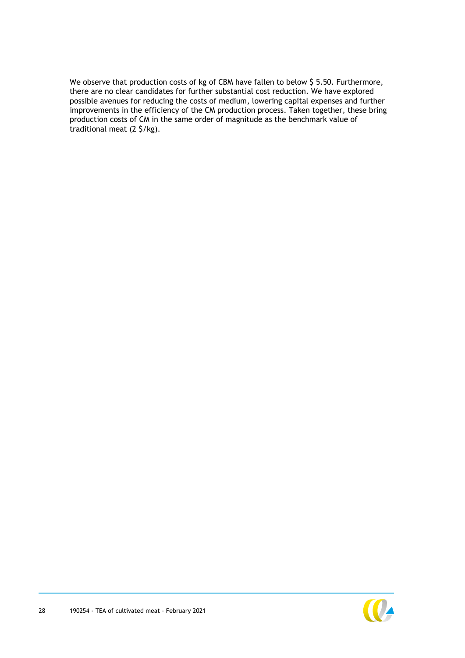We observe that production costs of kg of CBM have fallen to below \$5.50. Furthermore, there are no clear candidates for further substantial cost reduction. We have explored possible avenues for reducing the costs of medium, lowering capital expenses and further improvements in the efficiency of the CM production process. Taken together, these bring production costs of CM in the same order of magnitude as the benchmark value of traditional meat (2 \$/kg).

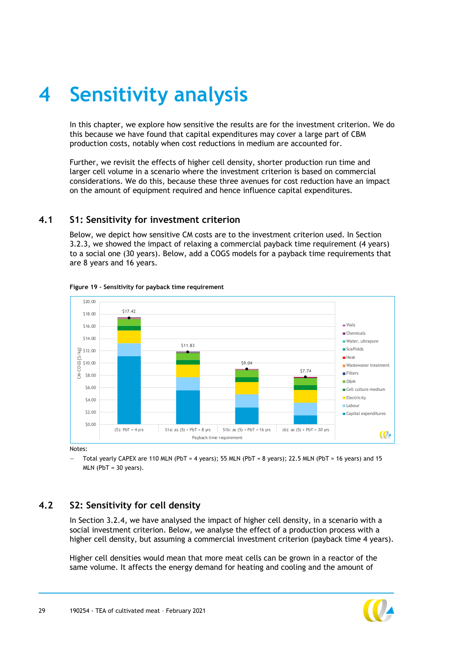# <span id="page-29-0"></span>**4 Sensitivity analysis**

In this chapter, we explore how sensitive the results are for the investment criterion. We do this because we have found that capital expenditures may cover a large part of CBM production costs, notably when cost reductions in medium are accounted for.

Further, we revisit the effects of higher cell density, shorter production run time and larger cell volume in a scenario where the investment criterion is based on commercial considerations. We do this, because these three avenues for cost reduction have an impact on the amount of equipment required and hence influence capital expenditures.

#### <span id="page-29-1"></span>**4.1 S1: Sensitivity for investment criterion**

Below, we depict how sensitive CM costs are to the investment criterion used. In Section [3.2.3,](#page-20-2) we showed the impact of relaxing a commercial payback time requirement (4 years) to a social one (30 years). Below, add a COGS models for a payback time requirements that are 8 years and 16 years.



**Figure 19 – Sensitivity for payback time requirement**

Notes:

<span id="page-29-2"></span>— Total yearly CAPEX are 110 MLN (PbT = 4 years); 55 MLN (PbT = 8 years); 22.5 MLN (PbT = 16 years) and 15  $MLN$  ( $PbT = 30$  years).

## **4.2 S2: Sensitivity for cell density**

In Section [3.2.4,](#page-23-1) we have analysed the impact of higher cell density, in a scenario with a social investment criterion. Below, we analyse the effect of a production process with a higher cell density, but assuming a commercial investment criterion (payback time 4 years).

Higher cell densities would mean that more meat cells can be grown in a reactor of the same volume. It affects the energy demand for heating and cooling and the amount of

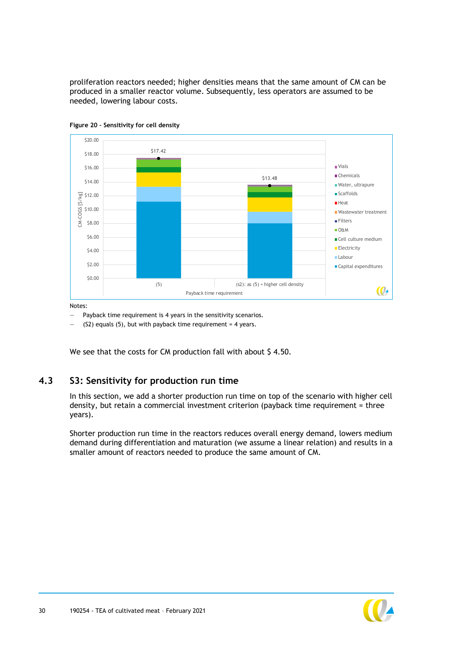proliferation reactors needed; higher densities means that the same amount of CM can be produced in a smaller reactor volume. Subsequently, less operators are assumed to be needed, lowering labour costs.





Notes:

Payback time requirement is 4 years in the sensitivity scenarios.

 $(S2)$  equals  $(5)$ , but with payback time requirement = 4 years.

<span id="page-30-0"></span>We see that the costs for CM production fall with about \$4.50.

#### **4.3 S3: Sensitivity for production run time**

In this section, we add a shorter production run time on top of the scenario with higher cell density, but retain a commercial investment criterion (payback time requirement = three years).

Shorter production run time in the reactors reduces overall energy demand, lowers medium demand during differentiation and maturation (we assume a linear relation) and results in a smaller amount of reactors needed to produce the same amount of CM.

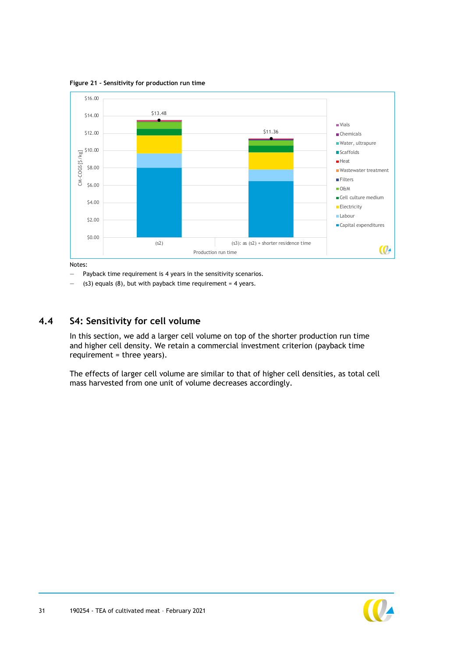**Figure 21 – Sensitivity for production run time**



Notes:

— Payback time requirement is 4 years in the sensitivity scenarios.

<span id="page-31-0"></span> $-$  (s3) equals (8), but with payback time requirement = 4 years.

#### **4.4 S4: Sensitivity for cell volume**

In this section, we add a larger cell volume on top of the shorter production run time and higher cell density. We retain a commercial investment criterion (payback time requirement = three years).

The effects of larger cell volume are similar to that of higher cell densities, as total cell mass harvested from one unit of volume decreases accordingly.

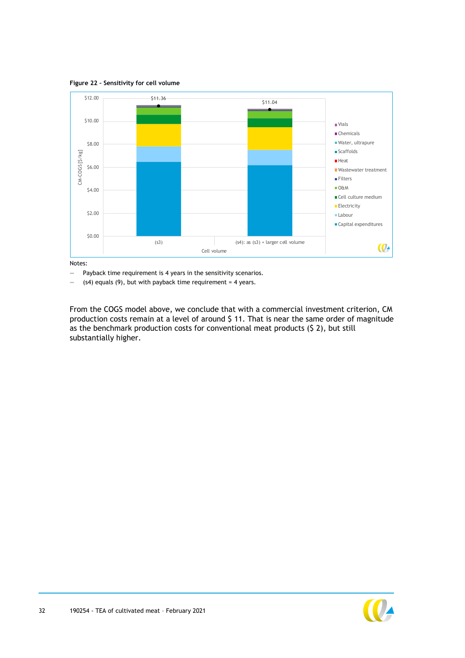**Figure 22 – Sensitivity for cell volume**



Notes:

— Payback time requirement is 4 years in the sensitivity scenarios.

 $-$  (s4) equals (9), but with payback time requirement = 4 years.

From the COGS model above, we conclude that with a commercial investment criterion, CM production costs remain at a level of around \$ 11. That is near the same order of magnitude as the benchmark production costs for conventional meat products (\$ 2), but still substantially higher.

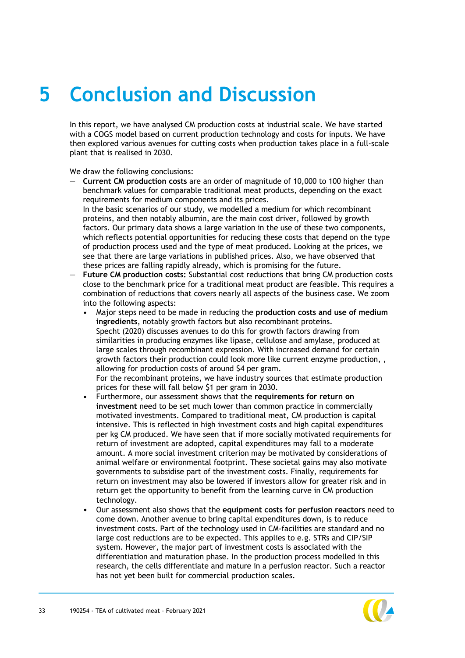# <span id="page-33-0"></span>**5 Conclusion and Discussion**

In this report, we have analysed CM production costs at industrial scale. We have started with a COGS model based on current production technology and costs for inputs. We have then explored various avenues for cutting costs when production takes place in a full-scale plant that is realised in 2030.

We draw the following conclusions:

- **Current CM production costs** are an order of magnitude of 10,000 to 100 higher than benchmark values for comparable traditional meat products, depending on the exact requirements for medium components and its prices. In the basic scenarios of our study, we modelled a medium for which recombinant proteins, and then notably albumin, are the main cost driver, followed by growth factors. Our primary data shows a large variation in the use of these two components, which reflects potential opportunities for reducing these costs that depend on the type of production process used and the type of meat produced. Looking at the prices, we see that there are large variations in published prices. Also, we have observed that these prices are falling rapidly already, which is promising for the future.
- **Future CM production costs:** Substantial cost reductions that bring CM production costs close to the benchmark price for a traditional meat product are feasible. This requires a combination of reductions that covers nearly all aspects of the business case. We zoom into the following aspects:
	- Major steps need to be made in reducing the **production costs and use of medium ingredients**, notably growth factors but also recombinant proteins. Specht (2020) discusses avenues to do this for growth factors drawing from similarities in producing enzymes like lipase, cellulose and amylase, produced at large scales through recombinant expression. With increased demand for certain growth factors their production could look more like current enzyme production, , allowing for production costs of around \$4 per gram. For the recombinant proteins, we have industry sources that estimate production
	- prices for these will fall below \$1 per gram in 2030. • Furthermore, our assessment shows that the **requirements for return on investment** need to be set much lower than common practice in commercially motivated investments. Compared to traditional meat, CM production is capital intensive. This is reflected in high investment costs and high capital expenditures per kg CM produced. We have seen that if more socially motivated requirements for return of investment are adopted, capital expenditures may fall to a moderate amount. A more social investment criterion may be motivated by considerations of animal welfare or environmental footprint. These societal gains may also motivate governments to subsidise part of the investment costs. Finally, requirements for return on investment may also be lowered if investors allow for greater risk and in return get the opportunity to benefit from the learning curve in CM production technology.
	- Our assessment also shows that the **equipment costs for perfusion reactors** need to come down. Another avenue to bring capital expenditures down, is to reduce investment costs. Part of the technology used in CM-facilities are standard and no large cost reductions are to be expected. This applies to e.g. STRs and CIP/SIP system. However, the major part of investment costs is associated with the differentiation and maturation phase. In the production process modelled in this research, the cells differentiate and mature in a perfusion reactor. Such a reactor has not yet been built for commercial production scales.

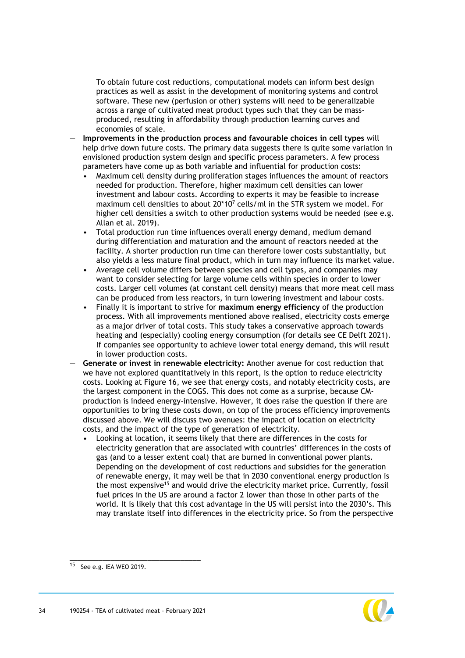To obtain future cost reductions, computational models can inform best design practices as well as assist in the development of monitoring systems and control software. These new (perfusion or other) systems will need to be generalizable across a range of cultivated meat product types such that they can be massproduced, resulting in affordability through production learning curves and economies of scale.

- **Improvements in the production process and favourable choices in cell types** will help drive down future costs. The primary data suggests there is quite some variation in envisioned production system design and specific process parameters. A few process parameters have come up as both variable and influential for production costs:
	- Maximum cell density during proliferation stages influences the amount of reactors needed for production. Therefore, higher maximum cell densities can lower investment and labour costs. According to experts it may be feasible to increase maximum cell densities to about  $20*10<sup>7</sup>$  cells/ml in the STR system we model. For higher cell densities a switch to other production systems would be needed (see e.g. Allan et al. 2019).
	- Total production run time influences overall energy demand, medium demand during differentiation and maturation and the amount of reactors needed at the facility. A shorter production run time can therefore lower costs substantially, but also yields a less mature final product, which in turn may influence its market value.
	- Average cell volume differs between species and cell types, and companies may want to consider selecting for large volume cells within species in order to lower costs. Larger cell volumes (at constant cell density) means that more meat cell mass can be produced from less reactors, in turn lowering investment and labour costs.
	- Finally it is important to strive for **maximum energy efficiency** of the production process. With all improvements mentioned above realised, electricity costs emerge as a major driver of total costs. This study takes a conservative approach towards heating and (especially) cooling energy consumption (for details see CE Delft 2021). If companies see opportunity to achieve lower total energy demand, this will result in lower production costs.
- **Generate or invest in renewable electricity:** Another avenue for cost reduction that we have not explored quantitatively in this report, is the option to reduce electricity costs. Looking at [Figure 16,](#page-26-0) we see that energy costs, and notably electricity costs, are the largest component in the COGS. This does not come as a surprise, because CMproduction is indeed energy-intensive. However, it does raise the question if there are opportunities to bring these costs down, on top of the process efficiency improvements discussed above. We will discuss two avenues: the impact of location on electricity costs, and the impact of the type of generation of electricity.
	- Looking at location, it seems likely that there are differences in the costs for electricity generation that are associated with countries' differences in the costs of gas (and to a lesser extent coal) that are burned in conventional power plants. Depending on the development of cost reductions and subsidies for the generation of renewable energy, it may well be that in 2030 conventional energy production is the most expensive<sup>15</sup> and would drive the electricity market price. Currently, fossil fuel prices in the US are around a factor 2 lower than those in other parts of the world. It is likely that this cost advantage in the US will persist into the 2030's. This may translate itself into differences in the electricity price. So from the perspective



 $15$  See e.g. IEA WEO 2019.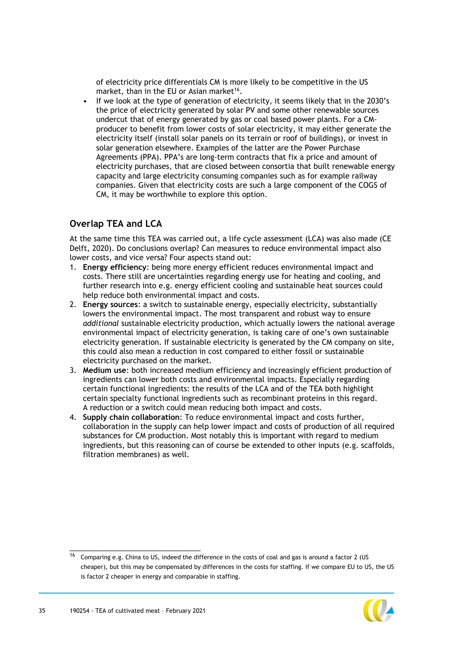of electricity price differentials CM is more likely to be competitive in the US market, than in the EU or Asian market<sup>16</sup>.

• If we look at the type of generation of electricity, it seems likely that in the 2030's the price of electricity generated by solar PV and some other renewable sources undercut that of energy generated by gas or coal based power plants. For a CMproducer to benefit from lower costs of solar electricity, it may either generate the electricity itself (install solar panels on its terrain or roof of buildings), or invest in solar generation elsewhere. Examples of the latter are the Power Purchase Agreements (PPA). PPA's are long-term contracts that fix a price and amount of electricity purchases, that are closed between consortia that built renewable energy capacity and large electricity consuming companies such as for example railway companies. Given that electricity costs are such a large component of the COGS of CM, it may be worthwhile to explore this option.

### **Overlap TEA and LCA**

At the same time this TEA was carried out, a life cycle assessment (LCA) was also made (CE Delft, 2020). Do conclusions overlap? Can measures to reduce environmental impact also lower costs, and vice versa? Four aspects stand out:

- 1. **Energy efficiency**: being more energy efficient reduces environmental impact and costs. There still are uncertainties regarding energy use for heating and cooling, and further research into e.g. energy efficient cooling and sustainable heat sources could help reduce both environmental impact and costs.
- 2. **Energy sources**: a switch to sustainable energy, especially electricity, substantially lowers the environmental impact. The most transparent and robust way to ensure *additional* sustainable electricity production, which actually lowers the national average environmental impact of electricity generation, is taking care of one's own sustainable electricity generation. If sustainable electricity is generated by the CM company on site, this could also mean a reduction in cost compared to either fossil or sustainable electricity purchased on the market.
- 3. **Medium use**: both increased medium efficiency and increasingly efficient production of ingredients can lower both costs and environmental impacts. Especially regarding certain functional ingredients: the results of the LCA and of the TEA both highlight certain specialty functional ingredients such as recombinant proteins in this regard. A reduction or a switch could mean reducing both impact and costs.
- 4. **Supply chain collaboration**: To reduce environmental impact and costs further, collaboration in the supply can help lower impact and costs of production of all required substances for CM production. Most notably this is important with regard to medium ingredients, but this reasoning can of course be extended to other inputs (e.g. scaffolds, filtration membranes) as well.

 $\frac{16}{16}$  Comparing e.g. China to US, indeed the difference in the costs of coal and gas is around a factor 2 (US cheaper), but this may be compensated by differences in the costs for staffing. If we compare EU to US, the US is factor 2 cheaper in energy and comparable in staffing.

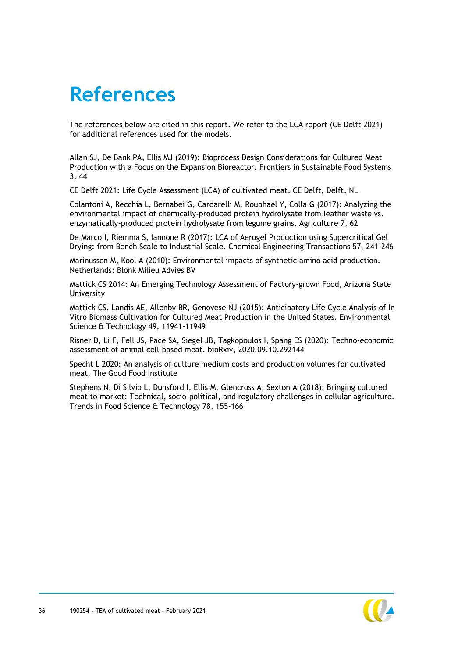## <span id="page-36-0"></span>**References**

The references below are cited in this report. We refer to the LCA report (CE Delft 2021) for additional references used for the models.

Allan SJ, De Bank PA, Ellis MJ (2019): Bioprocess Design Considerations for Cultured Meat Production with a Focus on the Expansion Bioreactor. Frontiers in Sustainable Food Systems 3, 44

CE Delft 2021: Life Cycle Assessment (LCA) of cultivated meat, CE Delft, Delft, NL

Colantoni A, Recchia L, Bernabei G, Cardarelli M, Rouphael Y, Colla G (2017): Analyzing the environmental impact of chemically-produced protein hydrolysate from leather waste vs. enzymatically-produced protein hydrolysate from legume grains. Agriculture 7, 62

De Marco I, Riemma S, Iannone R (2017): LCA of Aerogel Production using Supercritical Gel Drying: from Bench Scale to Industrial Scale. Chemical Engineering Transactions 57, 241-246

Marinussen M, Kool A (2010): Environmental impacts of synthetic amino acid production. Netherlands: Blonk Milieu Advies BV

Mattick CS 2014: An Emerging Technology Assessment of Factory-grown Food, Arizona State University

Mattick CS, Landis AE, Allenby BR, Genovese NJ (2015): Anticipatory Life Cycle Analysis of In Vitro Biomass Cultivation for Cultured Meat Production in the United States. Environmental Science & Technology 49, 11941-11949

Risner D, Li F, Fell JS, Pace SA, Siegel JB, Tagkopoulos I, Spang ES (2020): Techno-economic assessment of animal cell-based meat. bioRxiv, 2020.09.10.292144

Specht L 2020: An analysis of culture medium costs and production volumes for cultivated meat, The Good Food Institute

Stephens N, Di Silvio L, Dunsford I, Ellis M, Glencross A, Sexton A (2018): Bringing cultured meat to market: Technical, socio-political, and regulatory challenges in cellular agriculture. Trends in Food Science & Technology 78, 155-166

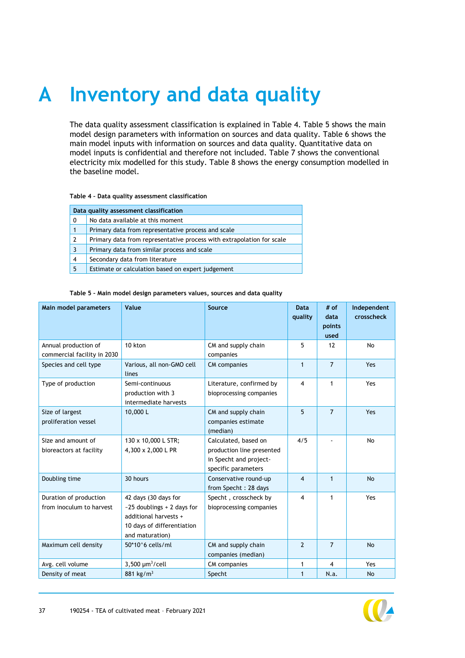# <span id="page-37-0"></span>**A Inventory and data quality**

The data quality assessment classification is explained in [Table 4.](#page-37-1) [Table 5](#page-37-2) shows the main model design parameters with information on sources and data quality. [Table 6](#page-38-0) shows the main model inputs with information on sources and data quality. Quantitative data on model inputs is confidential and therefore not included. [Table 7](#page-39-0) shows the conventional electricity mix modelled for this study. [Table 8](#page-39-1) shows the energy consumption modelled in the baseline model.

#### <span id="page-37-1"></span>**Table 4 – Data quality assessment classification**

| Data quality assessment classification |                                                                       |  |  |
|----------------------------------------|-----------------------------------------------------------------------|--|--|
| 0                                      | No data available at this moment                                      |  |  |
|                                        | Primary data from representative process and scale                    |  |  |
| 2                                      | Primary data from representative process with extrapolation for scale |  |  |
| 3                                      | Primary data from similar process and scale                           |  |  |
| 4                                      | Secondary data from literature                                        |  |  |
| 5                                      | Estimate or calculation based on expert judgement                     |  |  |

#### <span id="page-37-2"></span>**Table 5 – Main model design parameters values, sources and data quality**

| Main model parameters                               | Value                                                                                                                          | Source                                                                                             | <b>Data</b><br>quality  | # of<br>data<br>points<br>used | Independent<br>crosscheck |
|-----------------------------------------------------|--------------------------------------------------------------------------------------------------------------------------------|----------------------------------------------------------------------------------------------------|-------------------------|--------------------------------|---------------------------|
| Annual production of<br>commercial facility in 2030 | 10 kton                                                                                                                        | CM and supply chain<br>companies                                                                   | 5                       | 12                             | No                        |
| Species and cell type                               | Various, all non-GMO cell<br>lines                                                                                             | <b>CM</b> companies                                                                                | $\mathbf{1}$            | $\overline{7}$                 | Yes                       |
| Type of production                                  | Semi-continuous<br>production with 3<br>intermediate harvests                                                                  | Literature, confirmed by<br>bioprocessing companies                                                | $\overline{4}$          | $\mathbf{1}$                   | Yes                       |
| Size of largest<br>proliferation vessel             | 10,000L                                                                                                                        | CM and supply chain<br>companies estimate<br>(median)                                              | 5                       | $\overline{7}$                 | Yes                       |
| Size and amount of<br>bioreactors at facility       | 130 x 10,000 L STR;<br>4,300 x 2,000 L PR                                                                                      | Calculated, based on<br>production line presented<br>in Specht and project-<br>specific parameters | 4/5                     |                                | No                        |
| Doubling time                                       | 30 hours                                                                                                                       | Conservative round-up<br>from Specht: 28 days                                                      | $\overline{\mathbf{4}}$ | $\mathbf{1}$                   | <b>No</b>                 |
| Duration of production<br>from inoculum to harvest  | 42 days (30 days for<br>$-25$ doublings + 2 days for<br>additional harvests +<br>10 days of differentiation<br>and maturation) | Specht, crosscheck by<br>bioprocessing companies                                                   | 4                       | $\mathbf 1$                    | Yes                       |
| Maximum cell density                                | $50*106$ cells/ml                                                                                                              | CM and supply chain<br>companies (median)                                                          | $\overline{2}$          | $\overline{7}$                 | <b>No</b>                 |
| Avg. cell volume                                    | $3,500 \mu m^3$ /cell                                                                                                          | <b>CM</b> companies                                                                                | 1                       | $\overline{4}$                 | Yes                       |
| Density of meat                                     | 881 kg/m <sup>3</sup>                                                                                                          | Specht                                                                                             | 1                       | N.a.                           | <b>No</b>                 |

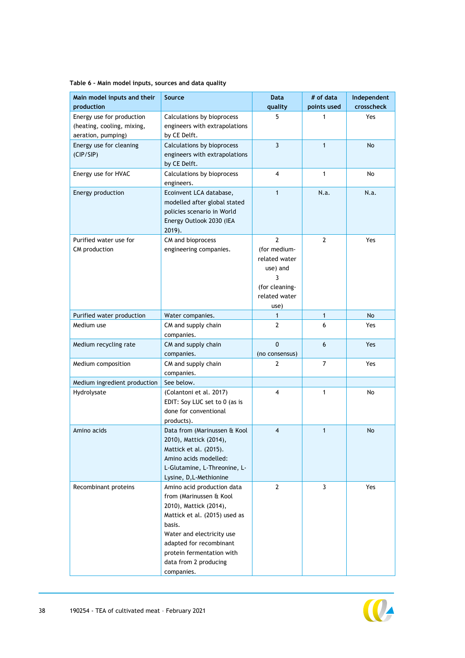| Main model inputs and their<br>production                                     | Source                                                                                                                                                                                                                                                 | <b>Data</b><br>quality                                                                                      | # of data<br>points used | Independent<br>crosscheck |
|-------------------------------------------------------------------------------|--------------------------------------------------------------------------------------------------------------------------------------------------------------------------------------------------------------------------------------------------------|-------------------------------------------------------------------------------------------------------------|--------------------------|---------------------------|
| Energy use for production<br>(heating, cooling, mixing,<br>aeration, pumping) | Calculations by bioprocess<br>engineers with extrapolations<br>by CE Delft.                                                                                                                                                                            | 5                                                                                                           | 1                        | Yes                       |
| Energy use for cleaning<br>(CIP/SIP)                                          | Calculations by bioprocess<br>engineers with extrapolations<br>by CE Delft.                                                                                                                                                                            | $\overline{3}$                                                                                              | $\mathbf{1}$             | No                        |
| Energy use for HVAC                                                           | Calculations by bioprocess<br>engineers.                                                                                                                                                                                                               | 4                                                                                                           | $\mathbf{1}$             | No                        |
| Energy production                                                             | Ecoinvent LCA database,<br>modelled after global stated<br>policies scenario in World<br>Energy Outlook 2030 (IEA<br>$2019$ ).                                                                                                                         | $\mathbf{1}$                                                                                                | N.a.                     | N.a.                      |
| Purified water use for<br>CM production                                       | CM and bioprocess<br>engineering companies.                                                                                                                                                                                                            | $\overline{2}$<br>(for medium-<br>related water<br>use) and<br>3<br>(for cleaning-<br>related water<br>use) | 2                        | Yes                       |
| Purified water production                                                     | Water companies.                                                                                                                                                                                                                                       |                                                                                                             | $\mathbf{1}$             | No                        |
| Medium use                                                                    | CM and supply chain<br>companies.                                                                                                                                                                                                                      | $\overline{2}$                                                                                              | 6                        | Yes                       |
| Medium recycling rate                                                         | CM and supply chain<br>companies.                                                                                                                                                                                                                      | $\mathbf 0$<br>(no consensus)                                                                               | 6                        | Yes                       |
| Medium composition                                                            | CM and supply chain<br>companies.                                                                                                                                                                                                                      | 2                                                                                                           | $\overline{7}$           | Yes                       |
| Medium ingredient production                                                  | See below.                                                                                                                                                                                                                                             |                                                                                                             |                          |                           |
| Hydrolysate                                                                   | (Colantoni et al. 2017)<br>EDIT: Soy LUC set to 0 (as is<br>done for conventional<br>products).                                                                                                                                                        | 4                                                                                                           | 1                        | No                        |
| Amino acids                                                                   | Data from (Marinussen & Kool<br>2010), Mattick (2014),<br>Mattick et al. (2015).<br>Amino acids modelled:<br>L-Glutamine, L-Threonine, L-<br>Lysine, D, L-Methionine                                                                                   | 4                                                                                                           | $\mathbf{1}$             | No                        |
| Recombinant proteins                                                          | Amino acid production data<br>from (Marinussen & Kool<br>2010), Mattick (2014),<br>Mattick et al. (2015) used as<br>basis.<br>Water and electricity use<br>adapted for recombinant<br>protein fermentation with<br>data from 2 producing<br>companies. | $\overline{2}$                                                                                              | 3                        | Yes                       |

#### <span id="page-38-0"></span>**Table 6 – Main model inputs, sources and data quality**

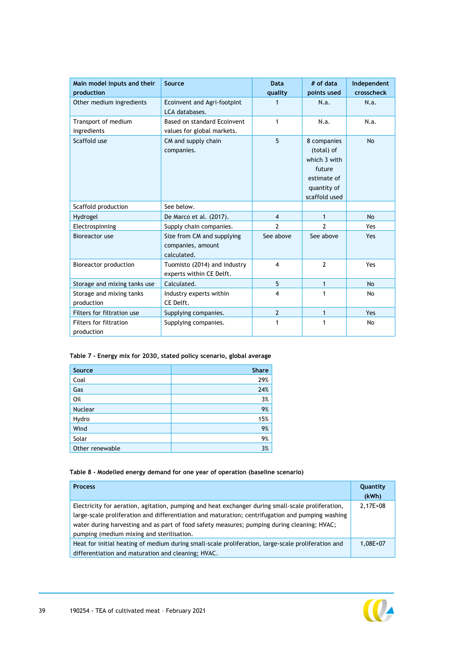| Main model inputs and their<br>production | Source                                                         | <b>Data</b><br>quality  | # of data<br>points used                                                                           | Independent<br>crosscheck |
|-------------------------------------------|----------------------------------------------------------------|-------------------------|----------------------------------------------------------------------------------------------------|---------------------------|
| Other medium ingredients                  | Ecoinvent and Agri-footpint<br>LCA databases.                  |                         | N.a.                                                                                               | N.a.                      |
| Transport of medium<br>ingredients        | Based on standard Ecoinvent<br>values for global markets.      | $\mathbf{1}$            | N.a.                                                                                               | N.a.                      |
| Scaffold use                              | CM and supply chain<br>companies.                              | 5                       | 8 companies<br>(total) of<br>which 3 with<br>future<br>estimate of<br>quantity of<br>scaffold used | <b>No</b>                 |
| Scaffold production                       | See below.                                                     |                         |                                                                                                    |                           |
| Hydrogel                                  | De Marco et al. (2017).                                        | $\overline{4}$          | 1                                                                                                  | <b>No</b>                 |
| Electrospinning                           | Supply chain companies.                                        | $\mathcal{P}$           | 2                                                                                                  | Yes                       |
| Bioreactor use                            | Size from CM and supplying<br>companies, amount<br>calculated. | See above               | See above                                                                                          | Yes                       |
| Bioreactor production                     | Tuomisto (2014) and industry<br>experts within CE Delft.       | 4                       | $\mathcal{P}$                                                                                      | Yes                       |
| Storage and mixing tanks use              | Calculated.                                                    | 5                       | 1                                                                                                  | <b>No</b>                 |
| Storage and mixing tanks<br>production    | Industry experts within<br>CE Delft.                           | $\overline{\mathbf{4}}$ | 1                                                                                                  | No                        |
| Filters for filtration use                | Supplying companies.                                           | $\overline{2}$          | $\mathbf{1}$                                                                                       | Yes                       |
| Filters for filtration<br>production      | Supplying companies.                                           | 1                       | 1                                                                                                  | No                        |

<span id="page-39-0"></span>**Table 7 - Energy mix for 2030, stated policy scenario, global average** 

| Source          | <b>Share</b> |
|-----------------|--------------|
| Coal            | 29%          |
| Gas             | 24%          |
| Oil             | 3%           |
| <b>Nuclear</b>  | 9%           |
| Hydro           | 15%          |
| Wind            | 9%           |
| Solar           | 9%           |
| Other renewable | 3%           |

#### <span id="page-39-1"></span>**Table 8 - Modelled energy demand for one year of operation (baseline scenario)**

| <b>Process</b>                                                                                                                                                                                                                                                                                                                                    | Quantity<br>(kWh) |
|---------------------------------------------------------------------------------------------------------------------------------------------------------------------------------------------------------------------------------------------------------------------------------------------------------------------------------------------------|-------------------|
| Electricity for aeration, agitation, pumping and heat exchanger during small-scale proliferation,<br>large-scale proliferation and differentiation and maturation; centrifugation and pumping washing<br>water during harvesting and as part of food safety measures; pumping during cleaning; HVAC;<br>pumping (medium mixing and sterilisation. | 2,17E+08          |
| Heat for initial heating of medium during small-scale proliferation, large-scale proliferation and<br>differentiation and maturation and cleaning; HVAC.                                                                                                                                                                                          | $1.08E + 07$      |

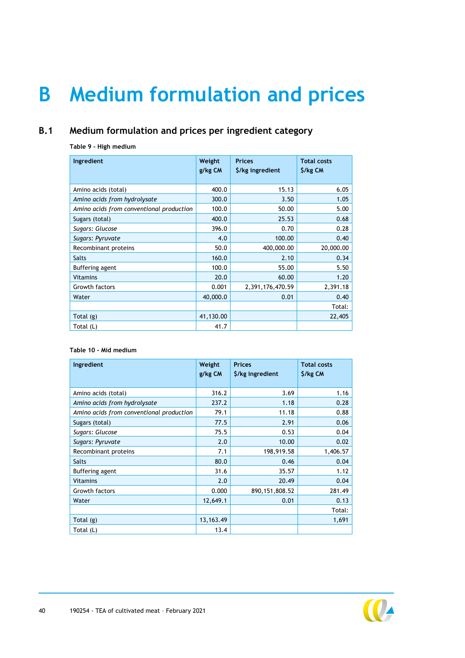# <span id="page-40-3"></span><span id="page-40-2"></span><span id="page-40-0"></span>**B Medium formulation and prices**

## **B.1 Medium formulation and prices per ingredient category**

#### <span id="page-40-1"></span>**Table 9 - High medium**

| Ingredient                               | Weight<br>g/kg CM | <b>Prices</b><br>\$/kg ingredient | <b>Total costs</b><br>\$/kg CM |
|------------------------------------------|-------------------|-----------------------------------|--------------------------------|
| Amino acids (total)                      | 400.0             | 15.13                             | 6.05                           |
| Amino acids from hydrolysate             | 300.0             | 3.50                              | 1.05                           |
| Amino acids from conventional production | 100.0             | 50.00                             | 5.00                           |
| Sugars (total)                           | 400.0             | 25.53                             | 0.68                           |
| Sugars: Glucose                          | 396.0             | 0.70                              | 0.28                           |
| Sugars: Pyruvate                         | 4.0               | 100.00                            | 0.40                           |
| Recombinant proteins                     | 50.0              | 400,000.00                        | 20,000.00                      |
| <b>Salts</b>                             | 160.0             | 2.10                              | 0.34                           |
| Buffering agent                          | 100.0             | 55.00                             | 5.50                           |
| <b>Vitamins</b>                          | 20.0              | 60.00                             | 1.20                           |
| Growth factors                           | 0.001             | 2,391,176,470.59                  | 2,391.18                       |
| Water                                    | 40,000.0          | 0.01                              | 0.40                           |
|                                          |                   |                                   | Total:                         |
| Total (g)                                | 41,130.00         |                                   | 22,405                         |
| Total (L)                                | 41.7              |                                   |                                |

#### **Table 10 - Mid medium**

| Ingredient                               | Weight<br>g/kg CM | <b>Prices</b><br>\$/kg ingredient | <b>Total costs</b><br>\$/kg CM |
|------------------------------------------|-------------------|-----------------------------------|--------------------------------|
| Amino acids (total)                      | 316.2             | 3.69                              | 1.16                           |
| Amino acids from hydrolysate             | 237.2             | 1.18                              | 0.28                           |
| Amino acids from conventional production | 79.1              | 11.18                             | 0.88                           |
| Sugars (total)                           | 77.5              | 2.91                              | 0.06                           |
| Sugars: Glucose                          | 75.5              | 0.53                              | 0.04                           |
| Sugars: Pyruvate                         | 2.0               | 10.00                             | 0.02                           |
| Recombinant proteins                     | 7.1               | 198,919.58                        | 1,406.57                       |
| Salts                                    | 80.0              | 0.46                              | 0.04                           |
| Buffering agent                          | 31.6              | 35.57                             | 1.12                           |
| <b>Vitamins</b>                          | 2.0               | 20.49                             | 0.04                           |
| Growth factors                           | 0.000             | 890, 151, 808. 52                 | 281.49                         |
| Water                                    | 12,649.1          | 0.01                              | 0.13                           |
|                                          |                   |                                   | Total:                         |
| Total (g)                                | 13, 163. 49       |                                   | 1,691                          |
| Total (L)                                | 13.4              |                                   |                                |

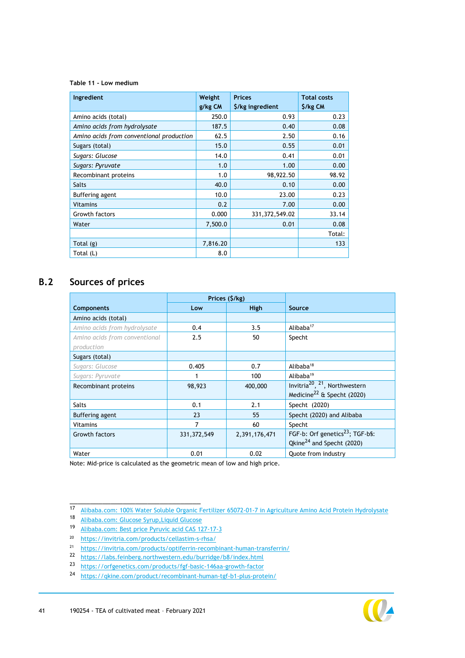#### <span id="page-41-1"></span>**Table 11 - Low medium**

| Ingredient                               | Weight   | <b>Prices</b>    | <b>Total costs</b> |
|------------------------------------------|----------|------------------|--------------------|
|                                          | g/kg CM  | \$/kg ingredient | \$/kg CM           |
| Amino acids (total)                      | 250.0    | 0.93             | 0.23               |
| Amino acids from hydrolysate             | 187.5    | 0.40             | 0.08               |
| Amino acids from conventional production | 62.5     | 2.50             | 0.16               |
| Sugars (total)                           | 15.0     | 0.55             | 0.01               |
| Sugars: Glucose                          | 14.0     | 0.41             | 0.01               |
| Sugars: Pyruvate                         | 1.0      | 1.00             | 0.00               |
| Recombinant proteins                     | 1.0      | 98,922.50        | 98.92              |
| <b>Salts</b>                             | 40.0     | 0.10             | 0.00               |
| Buffering agent                          | 10.0     | 23.00            | 0.23               |
| <b>Vitamins</b>                          | 0.2      | 7.00             | 0.00               |
| Growth factors                           | 0.000    | 331, 372, 549.02 | 33.14              |
| Water                                    | 7,500.0  | 0.01             | 0.08               |
|                                          |          |                  | Total:             |
| Total (g)                                | 7,816.20 |                  | 133                |
| Total (L)                                | 8.0      |                  |                    |

## **B.2 Sources of prices**

<span id="page-41-0"></span>

|                               | Prices (\$/kg) |               |                                                       |  |  |
|-------------------------------|----------------|---------------|-------------------------------------------------------|--|--|
| <b>Components</b>             | Low            | <b>High</b>   | Source                                                |  |  |
| Amino acids (total)           |                |               |                                                       |  |  |
| Amino acids from hydrolysate  | 0.4            | 3.5           | Alibaba <sup>17</sup>                                 |  |  |
| Amino acids from conventional | 2.5            | 50            | Specht                                                |  |  |
| production                    |                |               |                                                       |  |  |
| Sugars (total)                |                |               |                                                       |  |  |
| Sugars: Glucose               | 0.405          | 0.7           | Alibaba <sup>18</sup>                                 |  |  |
| Sugars: Pyruvate              |                | 100           | Alibaba <sup>19</sup>                                 |  |  |
| Recombinant proteins          | 98,923         | 400,000       | Invitria <sup>20</sup> , <sup>21</sup> , Northwestern |  |  |
|                               |                |               | Medicine <sup>22</sup> & Specht (2020)                |  |  |
| <b>Salts</b>                  | 0.1            | 2.1           | Specht (2020)                                         |  |  |
| Buffering agent               | 23             | 55            | Specht (2020) and Alibaba                             |  |  |
| <b>Vitamins</b>               | 7              | 60            | Specht                                                |  |  |
| Growth factors                | 331, 372, 549  | 2,391,176,471 | FGF-b: Orf genetics <sup>23</sup> ; TGF-b§:           |  |  |
|                               |                |               | Qkine <sup>24</sup> and Specht (2020)                 |  |  |
| Water                         | 0.01           | 0.02          | Quote from industry                                   |  |  |

Note: Mid-price is calculated as the geometric mean of low and high price.



<sup>17</sup> [Alibaba.com: 100% Water Soluble Organic Fertilizer 65072-01-7 in Agriculture Amino Acid Protein Hydrolysate](https://dutch.alibaba.com/product-detail/100-water-soluble-organic-fertilizer-65072-01-7-in-agriculture-amino-acid-protein-hydrolysate-62096931171.html?spm=a2700.galleryofferlist.0.0.6d3d7ef8IHzY7o) 

<sup>18</sup> [Alibaba.com: Glucose Syrup,Liquid Glucose](https://dutch.alibaba.com/product-detail/glucose-syrup-liquid-glucose-445767397.html?spm=a2700.galleryofferlist.0.0.625b370cxAC8Nw)

<sup>19</sup> [Alibaba.com: Best price Pyruvic acid CAS 127-17-3](https://dutch.alibaba.com/product-detail/best-price-pyruvic-acid-cas-127-17-3-60836206726.html?spm=a2700.galleryofferlist.0.0.642e2a007OKkVM&s=p) 

<sup>20</sup> https://invitria.com/products/cellastim-s-rhsa/

<sup>21</sup> <https://invitria.com/products/optiferrin-recombinant-human-transferrin/>

<sup>22</sup> <https://labs.feinberg.northwestern.edu/burridge/b8/index.html>

<sup>23</sup> <https://orfgenetics.com/products/fgf-basic-146aa-growth-factor>

<sup>24</sup> <https://qkine.com/product/recombinant-human-tgf-b1-plus-protein/>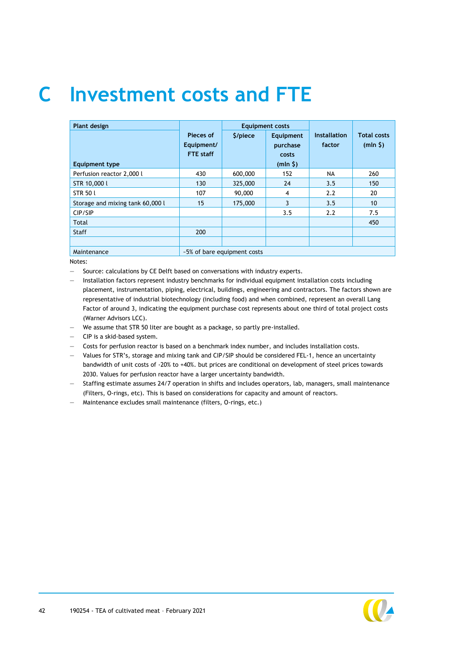# <span id="page-42-0"></span>**C Investment costs and FTE**

| Plant design                     |                                             |                             | <b>Equipment costs</b>                    |                               |                               |  |  |
|----------------------------------|---------------------------------------------|-----------------------------|-------------------------------------------|-------------------------------|-------------------------------|--|--|
| <b>Equipment type</b>            | Pieces of<br>Equipment/<br><b>FTE</b> staff | \$/piece                    | Equipment<br>purchase<br>costs<br>(mln 5) | <b>Installation</b><br>factor | <b>Total costs</b><br>(mln 5) |  |  |
| Perfusion reactor 2,000 l        | 430                                         | 600,000                     | 152                                       | <b>NA</b>                     | 260                           |  |  |
| STR 10,000 l                     | 130                                         | 325,000                     | 24                                        | 3.5                           | 150                           |  |  |
| <b>STR 50 L</b>                  | 107                                         | 90,000                      | 4                                         | 2.2                           | 20                            |  |  |
| Storage and mixing tank 60,000 l | 15                                          | 175,000                     | 3                                         | 3.5                           | 10                            |  |  |
| CIP/SIP                          |                                             |                             | 3.5                                       | 2.2                           | 7.5                           |  |  |
| Total                            |                                             |                             |                                           |                               | 450                           |  |  |
| <b>Staff</b>                     | 200                                         |                             |                                           |                               |                               |  |  |
|                                  |                                             |                             |                                           |                               |                               |  |  |
| Maintenance                      |                                             | ~5% of bare equipment costs |                                           |                               |                               |  |  |

Notes:

— Source: calculations by CE Delft based on conversations with industry experts.

- Installation factors represent industry benchmarks for individual equipment installation costs including placement, instrumentation, piping, electrical, buildings, engineering and contractors. The factors shown are representative of industrial biotechnology (including food) and when combined, represent an overall Lang Factor of around 3, indicating the equipment purchase cost represents about one third of total project costs (Warner Advisors LCC).
- We assume that STR 50 liter are bought as a package, so partly pre-installed.

— CIP is a skid-based system.

Costs for perfusion reactor is based on a benchmark index number, and includes installation costs.

— Values for STR's, storage and mixing tank and CIP/SIP should be considered FEL-1, hence an uncertainty bandwidth of unit costs of -20% to +40%. but prices are conditional on development of steel prices towards 2030. Values for perfusion reactor have a larger uncertainty bandwidth.

— Staffing estimate assumes 24/7 operation in shifts and includes operators, lab, managers, small maintenance (Filters, O-rings, etc). This is based on considerations for capacity and amount of reactors.

— Maintenance excludes small maintenance (filters, O-rings, etc.)

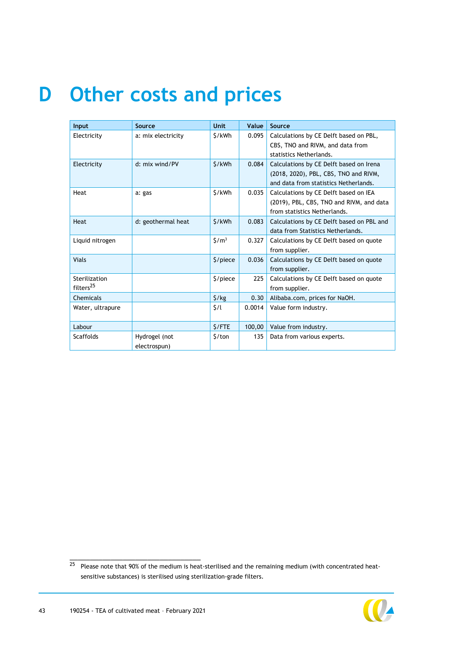# <span id="page-43-0"></span>**D Other costs and prices**

| Input                 | Source             | <b>Unit</b>                   | Value  | Source                                    |
|-----------------------|--------------------|-------------------------------|--------|-------------------------------------------|
| Electricity           | a: mix electricity | \$/kWh                        | 0.095  | Calculations by CE Delft based on PBL,    |
|                       |                    |                               |        | CBS, TNO and RIVM, and data from          |
|                       |                    |                               |        | statistics Netherlands.                   |
| Electricity           | d: mix wind/PV     | \$/kWh                        | 0.084  | Calculations by CE Delft based on Irena   |
|                       |                    |                               |        | (2018, 2020), PBL, CBS, TNO and RIVM,     |
|                       |                    |                               |        | and data from statistics Netherlands.     |
| Heat                  | a: gas             | \$/kWh                        | 0.035  | Calculations by CE Delft based on IEA     |
|                       |                    |                               |        | (2019), PBL, CBS, TNO and RIVM, and data  |
|                       |                    |                               |        | from statistics Netherlands.              |
| <b>Heat</b>           | d: geothermal heat | \$/kWh                        | 0.083  | Calculations by CE Delft based on PBL and |
|                       |                    |                               |        | data from Statistics Netherlands.         |
| Liquid nitrogen       |                    | $\frac{\text{S}}{\text{m}^3}$ | 0.327  | Calculations by CE Delft based on quote   |
|                       |                    |                               |        | from supplier.                            |
| <b>Vials</b>          |                    | \$/piece                      | 0.036  | Calculations by CE Delft based on quote   |
|                       |                    |                               |        | from supplier.                            |
| Sterilization         |                    | \$/piece                      | 225    | Calculations by CE Delft based on quote   |
| filters <sup>25</sup> |                    |                               |        | from supplier.                            |
| Chemicals             |                    | $\frac{1}{2}$ /kg             | 0.30   | Alibaba.com, prices for NaOH.             |
| Water, ultrapure      |                    | 5/1                           | 0.0014 | Value form industry.                      |
|                       |                    |                               |        |                                           |
| Labour                |                    | \$/FTE                        | 100,00 | Value from industry.                      |
| <b>Scaffolds</b>      | Hydrogel (not      | 5/ton                         | 135    | Data from various experts.                |
|                       | electrospun)       |                               |        |                                           |

<sup>25</sup> Please note that 90% of the medium is heat-sterilised and the remaining medium (with concentrated heatsensitive substances) is sterilised using sterilization-grade filters.

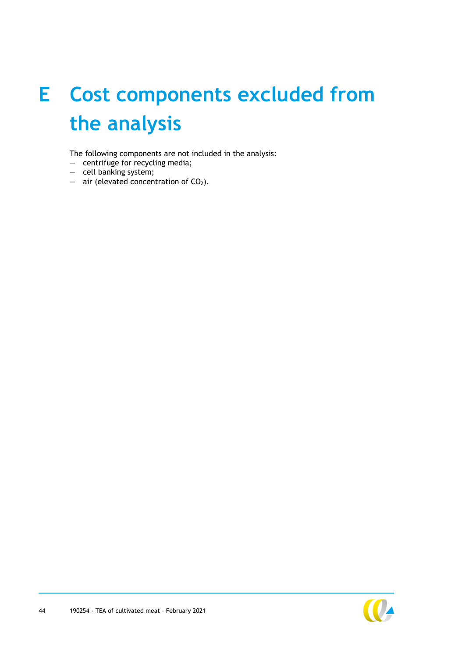# <span id="page-44-0"></span>**E Cost components excluded from the analysis**

The following components are not included in the analysis:

- centrifuge for recycling media;
- cell banking system;
- $-$  air (elevated concentration of  $CO<sub>2</sub>$ ).

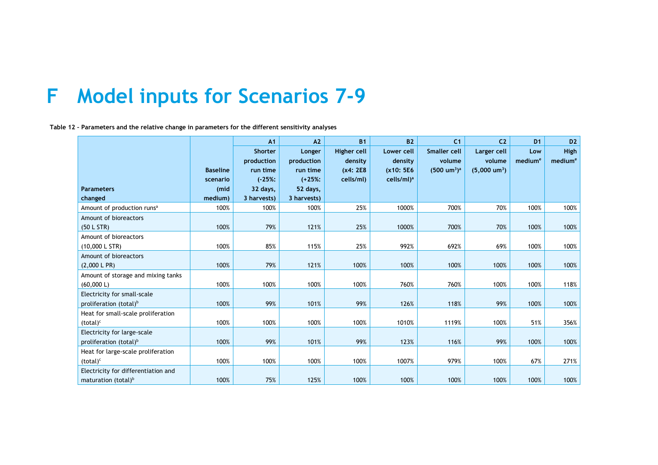## **F Model inputs for Scenarios 7-9**

**Table 12 – Parameters and the relative change in parameters for the different sensitivity analyses**

<span id="page-45-0"></span>

|                                        |                 | A1             | A <sub>2</sub> | <b>B1</b>   | <b>B2</b>              | C <sub>1</sub>         | C <sub>2</sub>         | D <sub>1</sub>      | D <sub>2</sub>      |
|----------------------------------------|-----------------|----------------|----------------|-------------|------------------------|------------------------|------------------------|---------------------|---------------------|
|                                        |                 | <b>Shorter</b> | Longer         | Higher cell | Lower cell             | <b>Smaller cell</b>    | Larger cell            | Low                 | <b>High</b>         |
|                                        |                 | production     | production     | density     | density                | volume                 | volume                 | medium <sup>e</sup> | medium <sup>e</sup> |
|                                        | <b>Baseline</b> | run time       | run time       | (x4: 2E8    | (x10: 5E6              | $(500 \text{ um}^3)^a$ | $(5,000 \text{ um}^3)$ |                     |                     |
|                                        | scenario        | $(-25%;$       | $(+25%;$       | cells/ml)   | cells/ml) <sup>a</sup> |                        |                        |                     |                     |
| <b>Parameters</b>                      | (mid            | 32 days,       | 52 days,       |             |                        |                        |                        |                     |                     |
| changed                                | medium)         | 3 harvests)    | 3 harvests)    |             |                        |                        |                        |                     |                     |
| Amount of production runs <sup>a</sup> | 100%            | 100%           | 100%           | 25%         | 1000%                  | 700%                   | 70%                    | 100%                | 100%                |
| Amount of bioreactors                  |                 |                |                |             |                        |                        |                        |                     |                     |
| (50 L STR)                             | 100%            | 79%            | 121%           | 25%         | 1000%                  | 700%                   | 70%                    | 100%                | 100%                |
| Amount of bioreactors                  |                 |                |                |             |                        |                        |                        |                     |                     |
| (10,000 L STR)                         | 100%            | 85%            | 115%           | 25%         | 992%                   | 692%                   | 69%                    | 100%                | 100%                |
| Amount of bioreactors                  |                 |                |                |             |                        |                        |                        |                     |                     |
| (2,000 L PR)                           | 100%            | 79%            | 121%           | 100%        | 100%                   | 100%                   | 100%                   | 100%                | 100%                |
| Amount of storage and mixing tanks     |                 |                |                |             |                        |                        |                        |                     |                     |
| (60,000 L)                             | 100%            | 100%           | 100%           | 100%        | 760%                   | 760%                   | 100%                   | 100%                | 118%                |
| Electricity for small-scale            |                 |                |                |             |                        |                        |                        |                     |                     |
| proliferation (total) <sup>b</sup>     | 100%            | 99%            | 101%           | 99%         | 126%                   | 118%                   | 99%                    | 100%                | 100%                |
| Heat for small-scale proliferation     |                 |                |                |             |                        |                        |                        |                     |                     |
| $(total)^c$                            | 100%            | 100%           | 100%           | 100%        | 1010%                  | 1119%                  | 100%                   | 51%                 | 356%                |
| Electricity for large-scale            |                 |                |                |             |                        |                        |                        |                     |                     |
| proliferation (total) <sup>b</sup>     | 100%            | 99%            | 101%           | 99%         | 123%                   | 116%                   | 99%                    | 100%                | 100%                |
| Heat for large-scale proliferation     |                 |                |                |             |                        |                        |                        |                     |                     |
| $(total)^c$                            | 100%            | 100%           | 100%           | 100%        | 1007%                  | 979%                   | 100%                   | 67%                 | 271%                |
| Electricity for differentiation and    |                 |                |                |             |                        |                        |                        |                     |                     |
| maturation (total) <sup>b</sup>        | 100%            | 75%            | 125%           | 100%        | 100%                   | 100%                   | 100%                   | 100%                | 100%                |